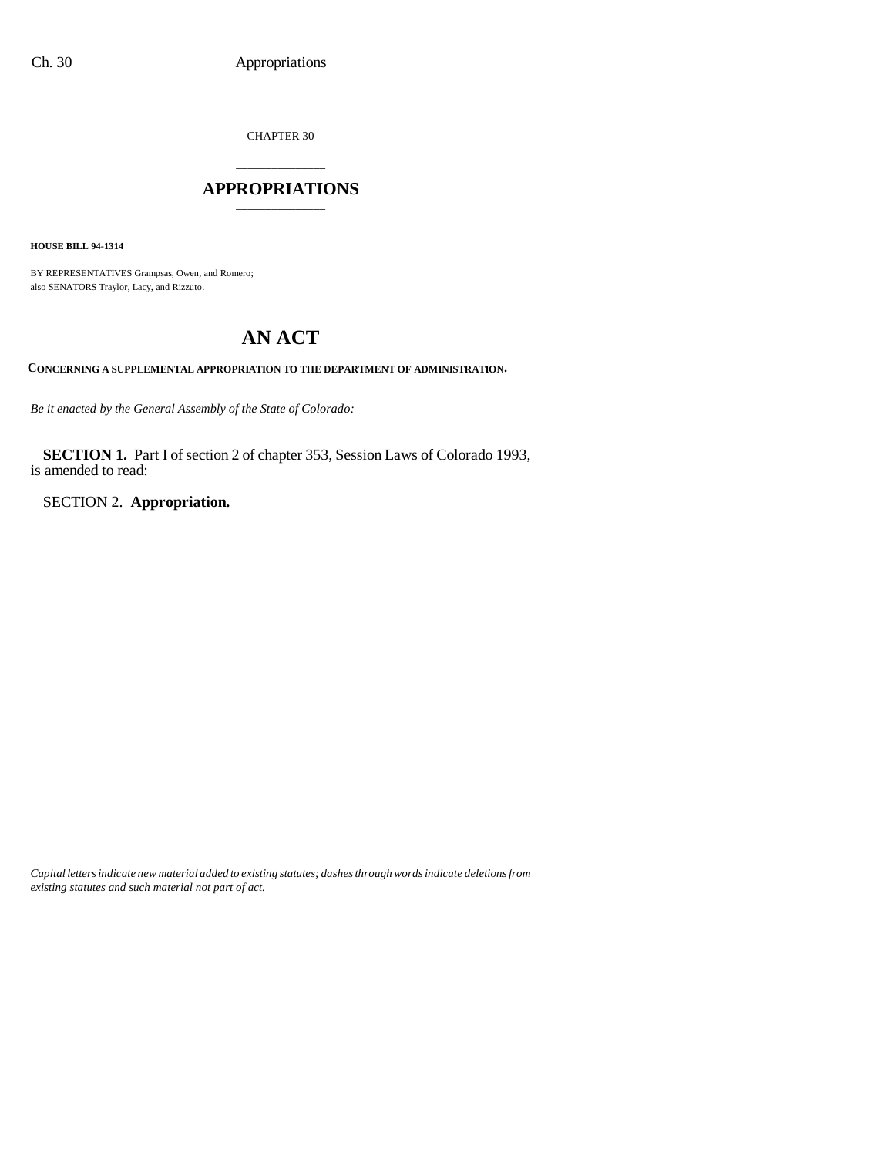CHAPTER 30

## \_\_\_\_\_\_\_\_\_\_\_\_\_\_\_ **APPROPRIATIONS** \_\_\_\_\_\_\_\_\_\_\_\_\_\_\_

**HOUSE BILL 94-1314**

BY REPRESENTATIVES Grampsas, Owen, and Romero; also SENATORS Traylor, Lacy, and Rizzuto.

# **AN ACT**

**CONCERNING A SUPPLEMENTAL APPROPRIATION TO THE DEPARTMENT OF ADMINISTRATION.**

*Be it enacted by the General Assembly of the State of Colorado:*

**SECTION 1.** Part I of section 2 of chapter 353, Session Laws of Colorado 1993, is amended to read:

SECTION 2. **Appropriation.**

*Capital letters indicate new material added to existing statutes; dashes through words indicate deletions from existing statutes and such material not part of act.*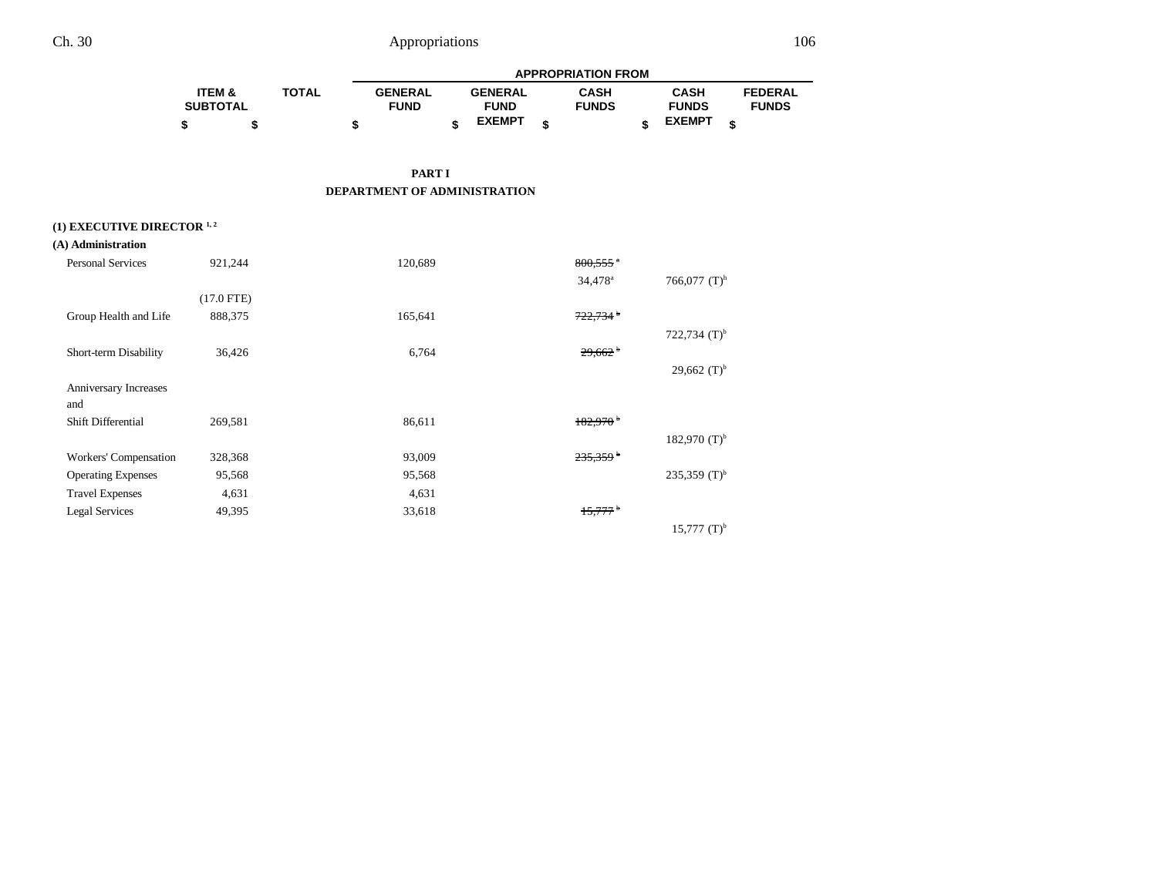|                   |              | <b>APPROPRIATION FROM</b> |  |                |  |              |  |               |   |                |  |
|-------------------|--------------|---------------------------|--|----------------|--|--------------|--|---------------|---|----------------|--|
| <b>ITEM &amp;</b> | <b>TOTAL</b> | <b>GENERAL</b>            |  | <b>GENERAL</b> |  | CASH         |  | <b>CASH</b>   |   | <b>FEDERAL</b> |  |
| <b>SUBTOTAL</b>   |              | <b>FUND</b>               |  | <b>FUND</b>    |  | <b>FUNDS</b> |  | <b>FUNDS</b>  |   | <b>FUNDS</b>   |  |
|                   |              |                           |  | <b>EXEMPT</b>  |  |              |  | <b>EXEMPT</b> | ¢ |                |  |

**PART I DEPARTMENT OF ADMINISTRATION**

### (1) **EXECUTIVE DIRECTOR** <sup>1, 2</sup>

| (A) Administration        |              |         |                        |                    |
|---------------------------|--------------|---------|------------------------|--------------------|
| <b>Personal Services</b>  | 921,244      | 120,689 | $800,555$ <sup>a</sup> |                    |
|                           |              |         | 34,478 <sup>a</sup>    | 766,077 $(T)^h$    |
|                           | $(17.0$ FTE) |         |                        |                    |
| Group Health and Life     | 888,375      | 165,641 | $722,734$ <sup>b</sup> |                    |
|                           |              |         |                        | 722,734 $(T)^{b}$  |
| Short-term Disability     | 36,426       | 6,764   | $29,662$ <sup>b</sup>  |                    |
|                           |              |         |                        | 29,662 $(T)^{b}$   |
| Anniversary Increases     |              |         |                        |                    |
| and                       |              |         |                        |                    |
| Shift Differential        | 269,581      | 86,611  | $182,970$ <sup>b</sup> |                    |
|                           |              |         |                        | 182,970 $(T)^{b}$  |
| Workers' Compensation     | 328,368      | 93,009  | 235,359 <sup>b</sup>   |                    |
| <b>Operating Expenses</b> | 95,568       | 95,568  |                        | 235,359 $(T)^{b}$  |
| <b>Travel Expenses</b>    | 4,631        | 4,631   |                        |                    |
| <b>Legal Services</b>     | 49,395       | 33,618  | $15,777$ <sup>b</sup>  |                    |
|                           |              |         |                        | $15,777$ $(T)^{b}$ |
|                           |              |         |                        |                    |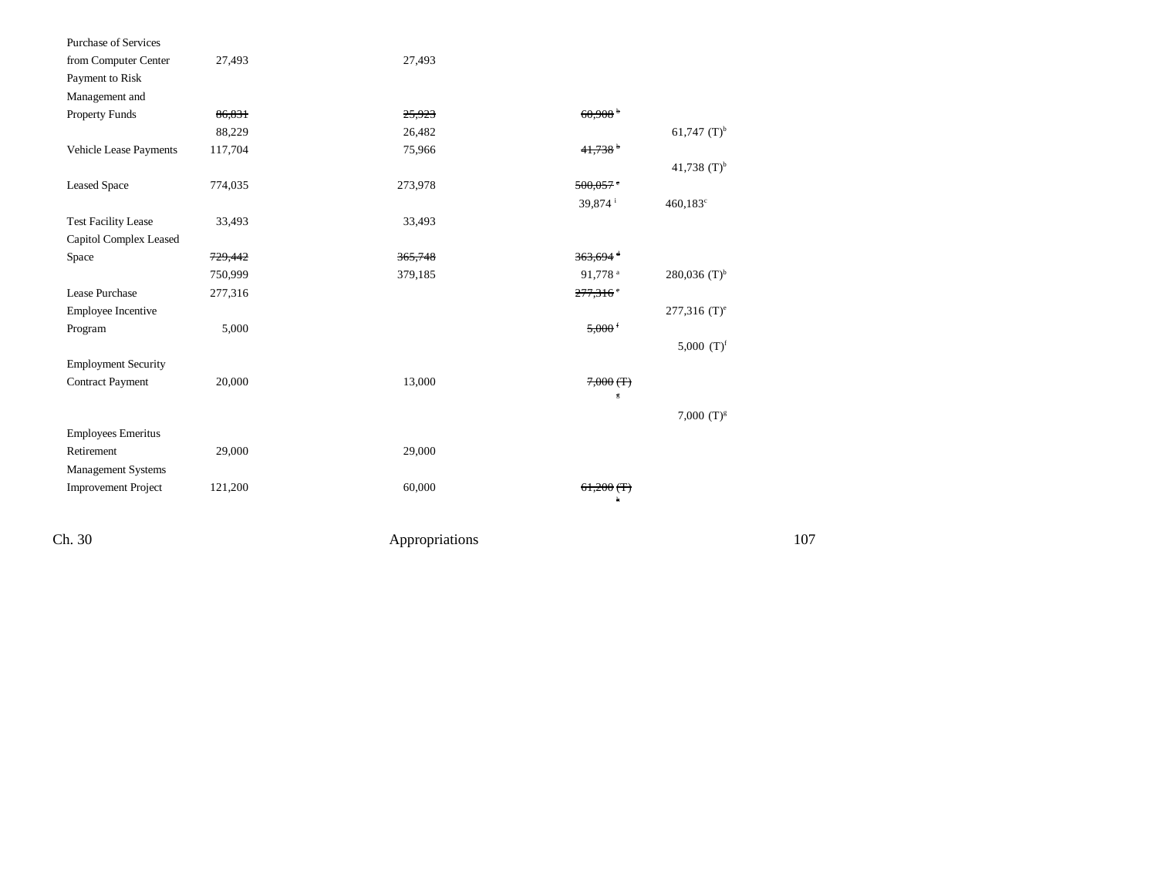| Purchase of Services       |         |                |                        |                            |     |
|----------------------------|---------|----------------|------------------------|----------------------------|-----|
| from Computer Center       | 27,493  | 27,493         |                        |                            |     |
| Payment to Risk            |         |                |                        |                            |     |
| Management and             |         |                |                        |                            |     |
| Property Funds             | 86,831  | 25,923         | 60.908 <sup>b</sup>    |                            |     |
|                            | 88,229  | 26,482         |                        | 61,747 $(T)^{b}$           |     |
| Vehicle Lease Payments     | 117,704 | 75,966         | 41,738                 |                            |     |
|                            |         |                |                        | 41,738 $(T)^{b}$           |     |
| <b>Leased Space</b>        | 774,035 | 273,978        | $500,057$ $\degree$    |                            |     |
|                            |         |                | 39,874 <sup>i</sup>    | $460,183^c$                |     |
| <b>Test Facility Lease</b> | 33,493  | 33,493         |                        |                            |     |
| Capitol Complex Leased     |         |                |                        |                            |     |
| Space                      | 729,442 | 365,748        | $363,694$ <sup>d</sup> |                            |     |
|                            | 750,999 | 379,185        | 91,778 <sup>a</sup>    | 280,036 $(T)^{b}$          |     |
| Lease Purchase             | 277,316 |                | $277,316$ <sup>e</sup> |                            |     |
| Employee Incentive         |         |                |                        | $277,316$ (T) <sup>e</sup> |     |
| Program                    | 5,000   |                | $5,000$ f              |                            |     |
|                            |         |                |                        | 5,000 $(T)^f$              |     |
| <b>Employment Security</b> |         |                |                        |                            |     |
| <b>Contract Payment</b>    | 20,000  | 13,000         | $7,000$ (T)            |                            |     |
|                            |         |                | 5                      |                            |     |
|                            |         |                |                        | 7,000 $(T)^{g}$            |     |
| <b>Employees Emeritus</b>  |         |                |                        |                            |     |
| Retirement                 | 29,000  | 29,000         |                        |                            |     |
| Management Systems         |         |                |                        |                            |     |
| <b>Improvement Project</b> | 121,200 | 60,000         | $61,200$ (T)           |                            |     |
|                            |         |                | 'n                     |                            |     |
| Ch. 30                     |         |                |                        |                            | 107 |
|                            |         | Appropriations |                        |                            |     |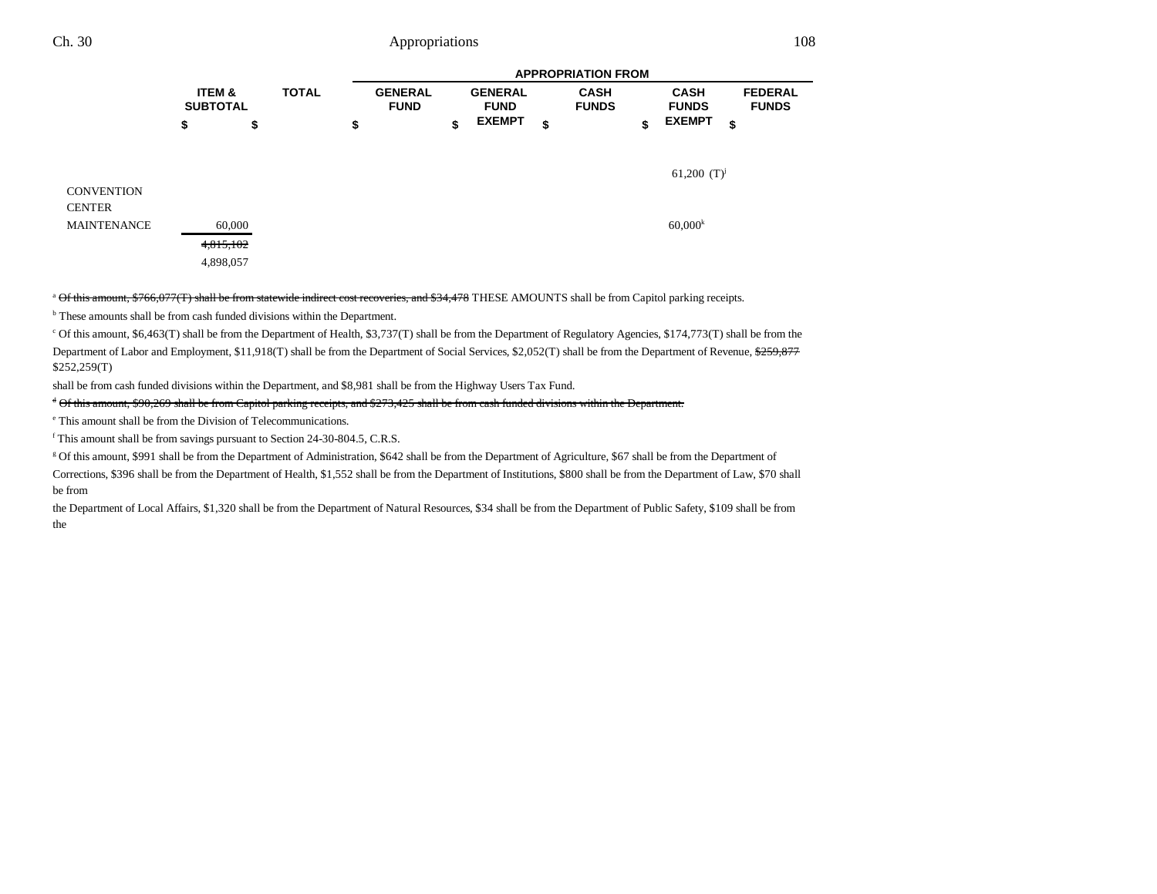|                                    |                                                  | <b>APPROPRIATION FROM</b> |                                     |    |                                                |    |                             |    |                                              |                                      |
|------------------------------------|--------------------------------------------------|---------------------------|-------------------------------------|----|------------------------------------------------|----|-----------------------------|----|----------------------------------------------|--------------------------------------|
|                                    | <b>ITEM &amp;</b><br><b>SUBTOTAL</b><br>\$<br>\$ | <b>TOTAL</b>              | <b>GENERAL</b><br><b>FUND</b><br>\$ | \$ | <b>GENERAL</b><br><b>FUND</b><br><b>EXEMPT</b> | \$ | <b>CASH</b><br><b>FUNDS</b> | \$ | <b>CASH</b><br><b>FUNDS</b><br><b>EXEMPT</b> | <b>FEDERAL</b><br><b>FUNDS</b><br>\$ |
| <b>CONVENTION</b><br><b>CENTER</b> |                                                  |                           |                                     |    |                                                |    |                             |    | 61,200 $(T)^{j}$                             |                                      |
| <b>MAINTENANCE</b>                 | 60,000<br>4,815,102<br>4,898,057                 |                           |                                     |    |                                                |    |                             |    | $60,000^k$                                   |                                      |

<sup>a</sup> Of this amount, \$766,077(T) shall be from statewide indirect cost recoveries, and \$34,478 THESE AMOUNTS shall be from Capitol parking receipts.

<sup>b</sup> These amounts shall be from cash funded divisions within the Department.

c Of this amount, \$6,463(T) shall be from the Department of Health, \$3,737(T) shall be from the Department of Regulatory Agencies, \$174,773(T) shall be from the Department of Labor and Employment, \$11,918(T) shall be from the Department of Social Services, \$2,052(T) shall be from the Department of Revenue, \$259,877 \$252,259(T)

shall be from cash funded divisions within the Department, and \$8,981 shall be from the Highway Users Tax Fund.

#### d Of this amount, \$90,269 shall be from Capitol parking receipts, and \$273,425 shall be from cash funded divisions within the Department.

e This amount shall be from the Division of Telecommunications.

f This amount shall be from savings pursuant to Section 24-30-804.5, C.R.S.

g Of this amount, \$991 shall be from the Department of Administration, \$642 shall be from the Department of Agriculture, \$67 shall be from the Department of

Corrections, \$396 shall be from the Department of Health, \$1,552 shall be from the Department of Institutions, \$800 shall be from the Department of Law, \$70 shall be from

the Department of Local Affairs, \$1,320 shall be from the Department of Natural Resources, \$34 shall be from the Department of Public Safety, \$109 shall be from the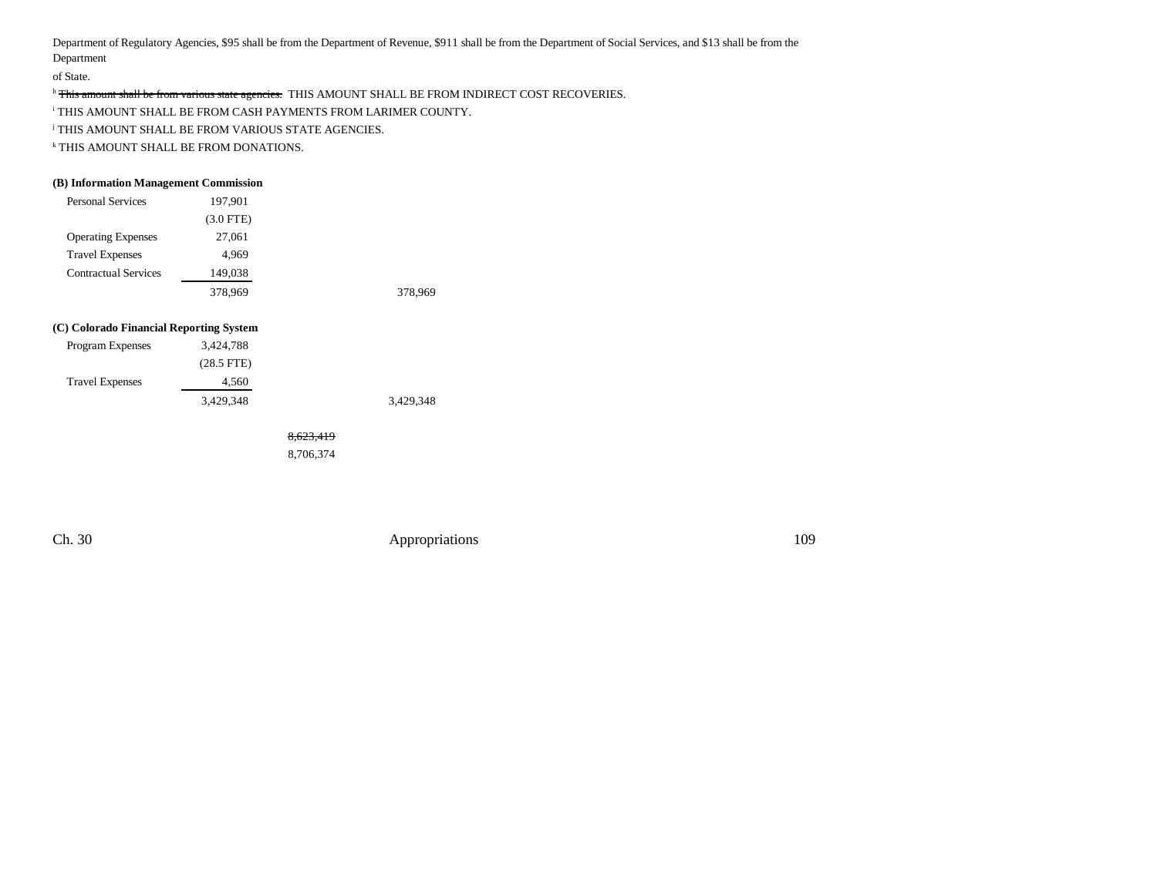Department of Regulatory Agencies, \$95 shall be from the Department of Revenue, \$911 shall be from the Department of Social Services, and \$13 shall be from the Department

of State.

h This amount shall be from various state agencies. THIS AMOUNT SHALL BE FROM INDIRECT COST RECOVERIES.

i THIS AMOUNT SHALL BE FROM CASH PAYMENTS FROM LARIMER COUNTY.

j THIS AMOUNT SHALL BE FROM VARIOUS STATE AGENCIES.

k THIS AMOUNT SHALL BE FROM DONATIONS.

#### **(B) Information Management Commission**

| <b>Personal Services</b>    | 197,901     |         |
|-----------------------------|-------------|---------|
|                             | $(3.0$ FTE) |         |
| <b>Operating Expenses</b>   | 27,061      |         |
| <b>Travel Expenses</b>      | 4,969       |         |
| <b>Contractual Services</b> | 149,038     |         |
|                             | 378,969     | 378,969 |

#### **(C) Colorado Financial Reporting System**

| 3,424,788    |  |
|--------------|--|
| $(28.5$ FTE) |  |
| 4.560        |  |
| 3.429.348    |  |
|              |  |

8,623,419

8,706,374

Ch. 30 Appropriations 109

3,429,348 3,429,348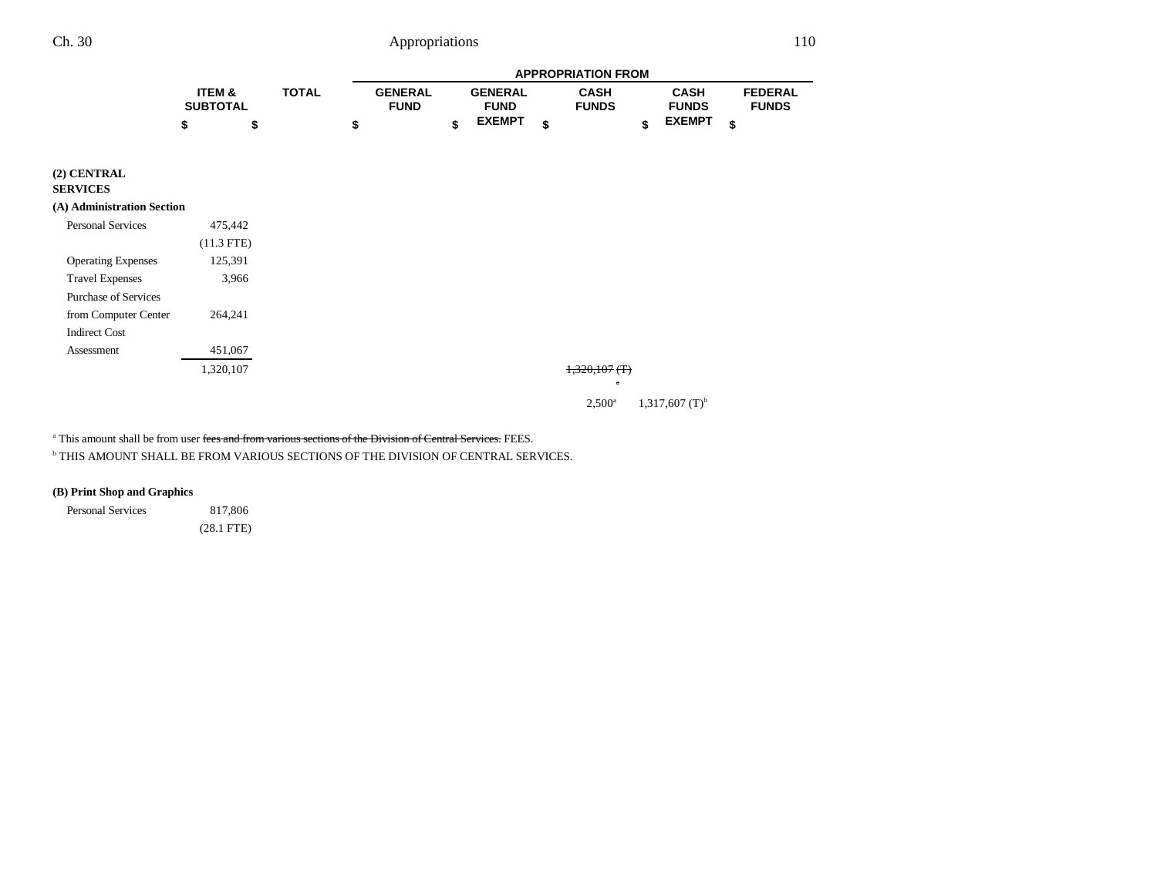|                                |                           |              |              |    | <b>APPROPRIATION FROM</b>     |    |                               |    |                             |    |                             |    |                                |
|--------------------------------|---------------------------|--------------|--------------|----|-------------------------------|----|-------------------------------|----|-----------------------------|----|-----------------------------|----|--------------------------------|
|                                | ITEM &<br><b>SUBTOTAL</b> |              | <b>TOTAL</b> |    | <b>GENERAL</b><br><b>FUND</b> |    | <b>GENERAL</b><br><b>FUND</b> |    | <b>CASH</b><br><b>FUNDS</b> |    | <b>CASH</b><br><b>FUNDS</b> |    | <b>FEDERAL</b><br><b>FUNDS</b> |
|                                | \$                        | \$           |              | \$ |                               | \$ | <b>EXEMPT</b>                 | \$ |                             | \$ | <b>EXEMPT</b>               | \$ |                                |
| (2) CENTRAL<br><b>SERVICES</b> |                           |              |              |    |                               |    |                               |    |                             |    |                             |    |                                |
| (A) Administration Section     |                           |              |              |    |                               |    |                               |    |                             |    |                             |    |                                |
| <b>Personal Services</b>       |                           | 475,442      |              |    |                               |    |                               |    |                             |    |                             |    |                                |
|                                |                           | $(11.3$ FTE) |              |    |                               |    |                               |    |                             |    |                             |    |                                |
| <b>Operating Expenses</b>      |                           | 125,391      |              |    |                               |    |                               |    |                             |    |                             |    |                                |
| <b>Travel Expenses</b>         |                           | 3,966        |              |    |                               |    |                               |    |                             |    |                             |    |                                |
| <b>Purchase of Services</b>    |                           |              |              |    |                               |    |                               |    |                             |    |                             |    |                                |
| from Computer Center           |                           | 264,241      |              |    |                               |    |                               |    |                             |    |                             |    |                                |
| <b>Indirect Cost</b>           |                           |              |              |    |                               |    |                               |    |                             |    |                             |    |                                |
| Assessment                     |                           | 451,067      |              |    |                               |    |                               |    |                             |    |                             |    |                                |
|                                |                           | 1,320,107    |              |    |                               |    |                               |    | $1,320,107$ (T)             |    |                             |    |                                |
|                                |                           |              |              |    |                               |    |                               |    | $\mathbf a$                 |    |                             |    |                                |

 $2,500^a$  1,317,607 (T)<sup>b</sup>

<sup>a</sup> This amount shall be from user <del>fees and from various sections of the Division of Central Services.</del> FEES.

 $^{\rm b}$  THIS AMOUNT SHALL BE FROM VARIOUS SECTIONS OF THE DIVISION OF CENTRAL SERVICES.

### **(B) Print Shop and Graphics**

Personal Services 817,806 (28.1 FTE)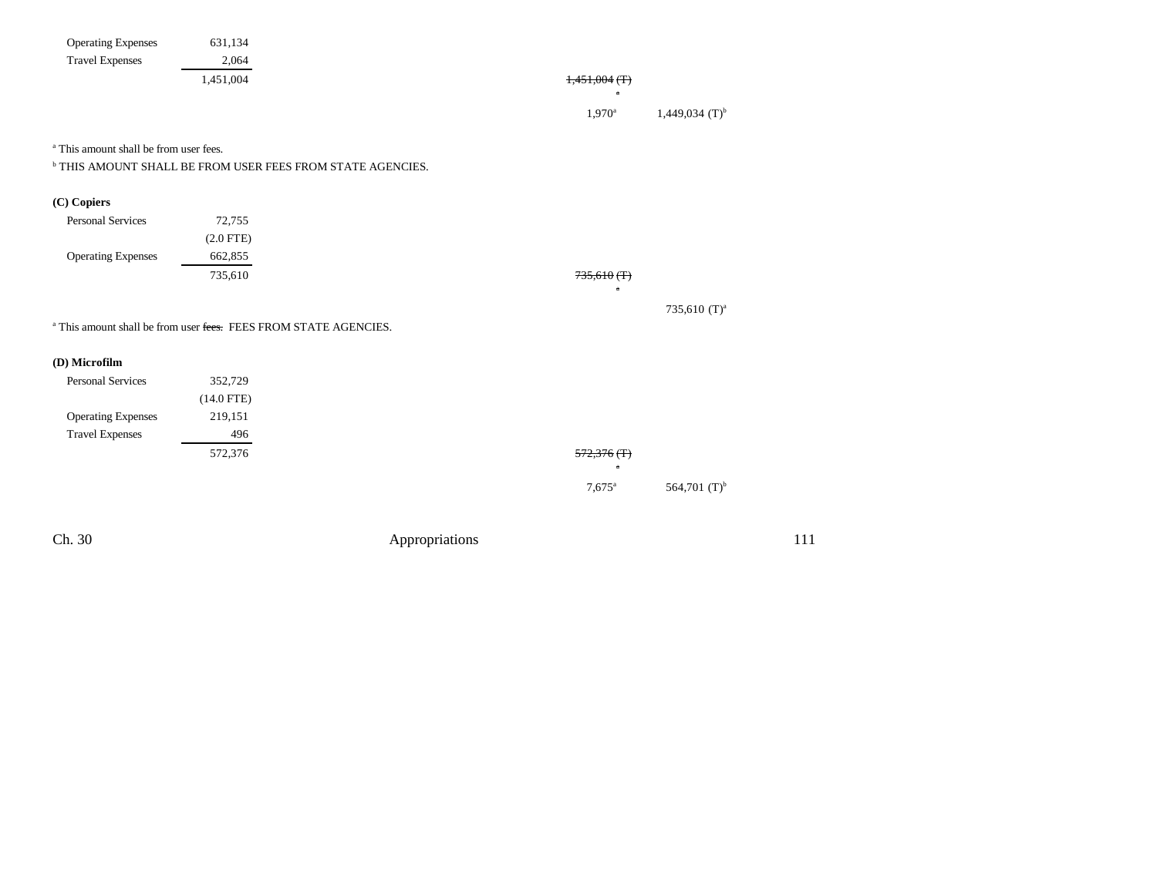| <b>Operating Expenses</b>                                                   | 631,134      |                |                      |                          |     |
|-----------------------------------------------------------------------------|--------------|----------------|----------------------|--------------------------|-----|
| <b>Travel Expenses</b>                                                      | 2,064        |                |                      |                          |     |
|                                                                             | 1,451,004    |                | $1,451,004$ (T)      |                          |     |
|                                                                             |              |                | $\mathbf{a}$         |                          |     |
|                                                                             |              |                | $1,970^{\rm a}$      | 1,449,034 $(T)^{b}$      |     |
| <sup>a</sup> This amount shall be from user fees.                           |              |                |                      |                          |     |
| $^{\rm b}$ THIS AMOUNT SHALL BE FROM USER FEES FROM STATE AGENCIES.         |              |                |                      |                          |     |
| (C) Copiers                                                                 |              |                |                      |                          |     |
| <b>Personal Services</b>                                                    | 72,755       |                |                      |                          |     |
|                                                                             | $(2.0$ FTE)  |                |                      |                          |     |
| <b>Operating Expenses</b>                                                   | 662,855      |                |                      |                          |     |
|                                                                             | 735,610      |                | $735,610$ (T)        |                          |     |
|                                                                             |              |                | $\mathbf{a}$         |                          |     |
|                                                                             |              |                |                      | 735,610 (T) <sup>a</sup> |     |
| <sup>a</sup> This amount shall be from user fees. FEES FROM STATE AGENCIES. |              |                |                      |                          |     |
| (D) Microfilm                                                               |              |                |                      |                          |     |
| <b>Personal Services</b>                                                    | 352,729      |                |                      |                          |     |
|                                                                             | $(14.0$ FTE) |                |                      |                          |     |
| <b>Operating Expenses</b>                                                   | 219,151      |                |                      |                          |     |
| <b>Travel Expenses</b>                                                      | 496          |                |                      |                          |     |
|                                                                             | 572,376      |                | $572,376$ (T)        |                          |     |
|                                                                             |              |                | $7,675$ <sup>a</sup> | 564,701 $(T)^{b}$        |     |
|                                                                             |              |                |                      |                          |     |
| Ch. 30                                                                      |              | Appropriations |                      |                          | 111 |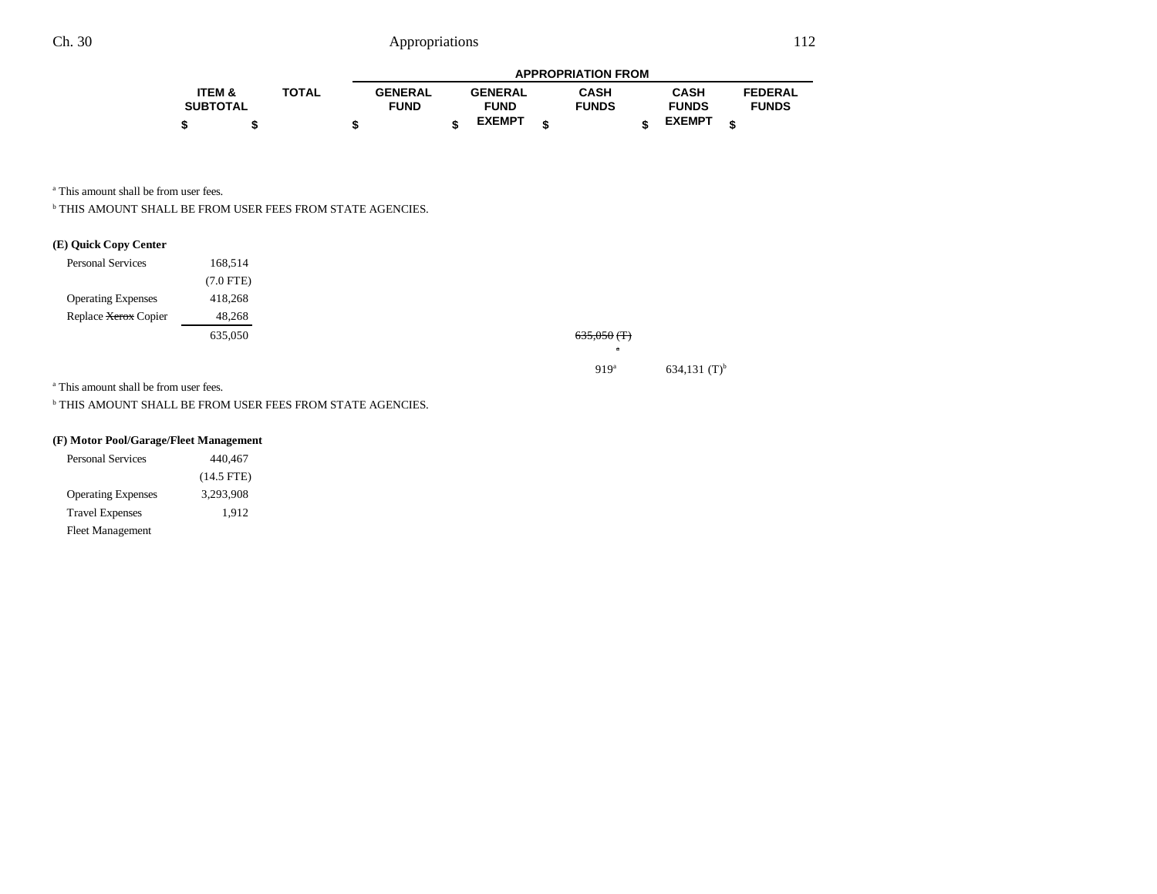|                   |              |   |                |                | <b>APPROPRIATION FROM</b> |               |                |
|-------------------|--------------|---|----------------|----------------|---------------------------|---------------|----------------|
| <b>ITEM &amp;</b> | <b>TOTAL</b> |   | <b>GENERAL</b> | <b>GENERAL</b> | <b>CASH</b>               | <b>CASH</b>   | <b>FEDERAL</b> |
| <b>SUBTOTAL</b>   |              |   | <b>FUND</b>    | <b>FUND</b>    | <b>FUNDS</b>              | <b>FUNDS</b>  | <b>FUNDS</b>   |
|                   |              | œ |                | <b>EXEMPT</b>  |                           | <b>EXEMPT</b> |                |

a This amount shall be from user fees.

b THIS AMOUNT SHALL BE FROM USER FEES FROM STATE AGENCIES.

### **(E) Quick Copy Center**

| <b>Personal Services</b>  | 168.514     |
|---------------------------|-------------|
|                           | $(7.0$ FTE) |
| <b>Operating Expenses</b> | 418.268     |
| Replace Xerox Copier      | 48,268      |
|                           | 635,050     |

635,050 635,050 (T)

a

919<sup>a</sup> 634,131 (T)<sup>b</sup>

a This amount shall be from user fees.

 $^{\rm b}$  THIS AMOUNT SHALL BE FROM USER FEES FROM STATE AGENCIES.

### **(F) Motor Pool/Garage/Fleet Management**

| <b>Personal Services</b>  | 440,467      |
|---------------------------|--------------|
|                           | $(14.5$ FTE) |
| <b>Operating Expenses</b> | 3,293,908    |
| <b>Travel Expenses</b>    | 1,912        |
| <b>Fleet Management</b>   |              |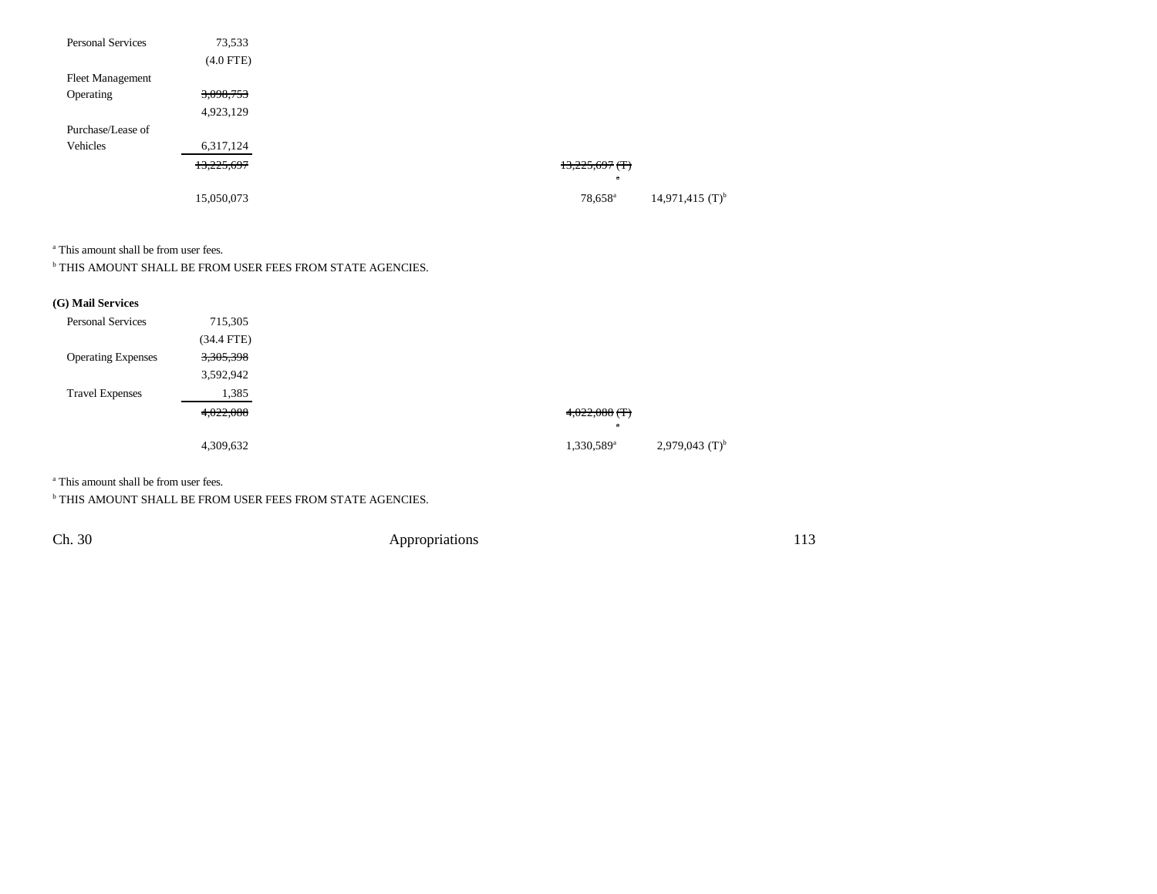| <b>Personal Services</b> | 73,533      |                                                      |
|--------------------------|-------------|------------------------------------------------------|
|                          | $(4.0$ FTE) |                                                      |
| <b>Fleet Management</b>  |             |                                                      |
| Operating                | 3,098,753   |                                                      |
|                          | 4,923,129   |                                                      |
| Purchase/Lease of        |             |                                                      |
| Vehicles                 | 6,317,124   |                                                      |
|                          | 13,225,697  | $13,225,697$ (T)                                     |
|                          |             | $\mathbf{a}$                                         |
|                          | 15,050,073  | $14,971,415$ (T) <sup>b</sup><br>78,658 <sup>a</sup> |

a This amount shall be from user fees.

 $^{\rm b}$  THIS AMOUNT SHALL BE FROM USER FEES FROM STATE AGENCIES.

## **(G) Mail Services**

| <b>Personal Services</b>  | 715,305      |
|---------------------------|--------------|
|                           | $(34.4$ FTE) |
| <b>Operating Expenses</b> | 3,305,398    |
|                           | 3,592,942    |
| <b>Travel Expenses</b>    | 1,385        |
|                           | 4,022,088    |
|                           |              |
|                           | 4,309,632    |

a This amount shall be from user fees.

 $^{\rm b}$  THIS AMOUNT SHALL BE FROM USER FEES FROM STATE AGENCIES.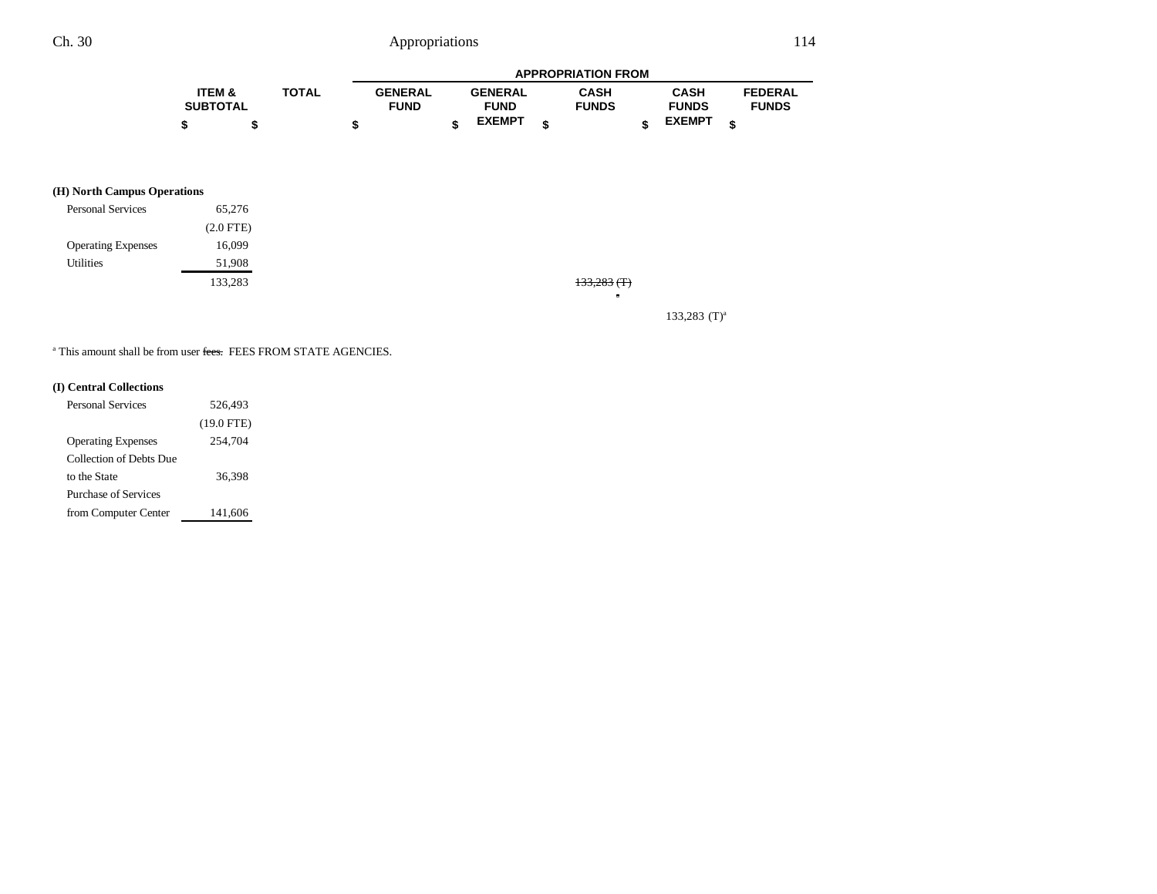|                   |              | <b>APPROPRIATION FROM</b> |  |                |  |              |  |               |  |                |
|-------------------|--------------|---------------------------|--|----------------|--|--------------|--|---------------|--|----------------|
| <b>ITEM &amp;</b> | <b>TOTAL</b> | <b>GENERAL</b>            |  | <b>GENERAL</b> |  | <b>CASH</b>  |  | <b>CASH</b>   |  | <b>FEDERAL</b> |
| <b>SUBTOTAL</b>   |              | <b>FUND</b>               |  | <b>FUND</b>    |  | <b>FUNDS</b> |  | <b>FUNDS</b>  |  | <b>FUNDS</b>   |
| \$                |              |                           |  | <b>EXEMPT</b>  |  |              |  | <b>EXEMPT</b> |  |                |

### **(H) North Campus Operations**

| <b>Personal Services</b>  | 65,276      |
|---------------------------|-------------|
|                           | $(2.0$ FTE) |
| <b>Operating Expenses</b> | 16,099      |
| Utilities                 | 51,908      |
|                           | 133.283     |

133,283 133,283 (T)

a

133,283  $(T)^a$ 

<sup>a</sup> This amount shall be from user <del>fees.</del> FEES FROM STATE AGENCIES.

### **(I) Central Collections**

| Personal Services         | 526,493      |
|---------------------------|--------------|
|                           | $(19.0$ FTE) |
| <b>Operating Expenses</b> | 254,704      |
| Collection of Debts Due   |              |
| to the State              | 36,398       |
| Purchase of Services      |              |
| from Computer Center      | 141,606      |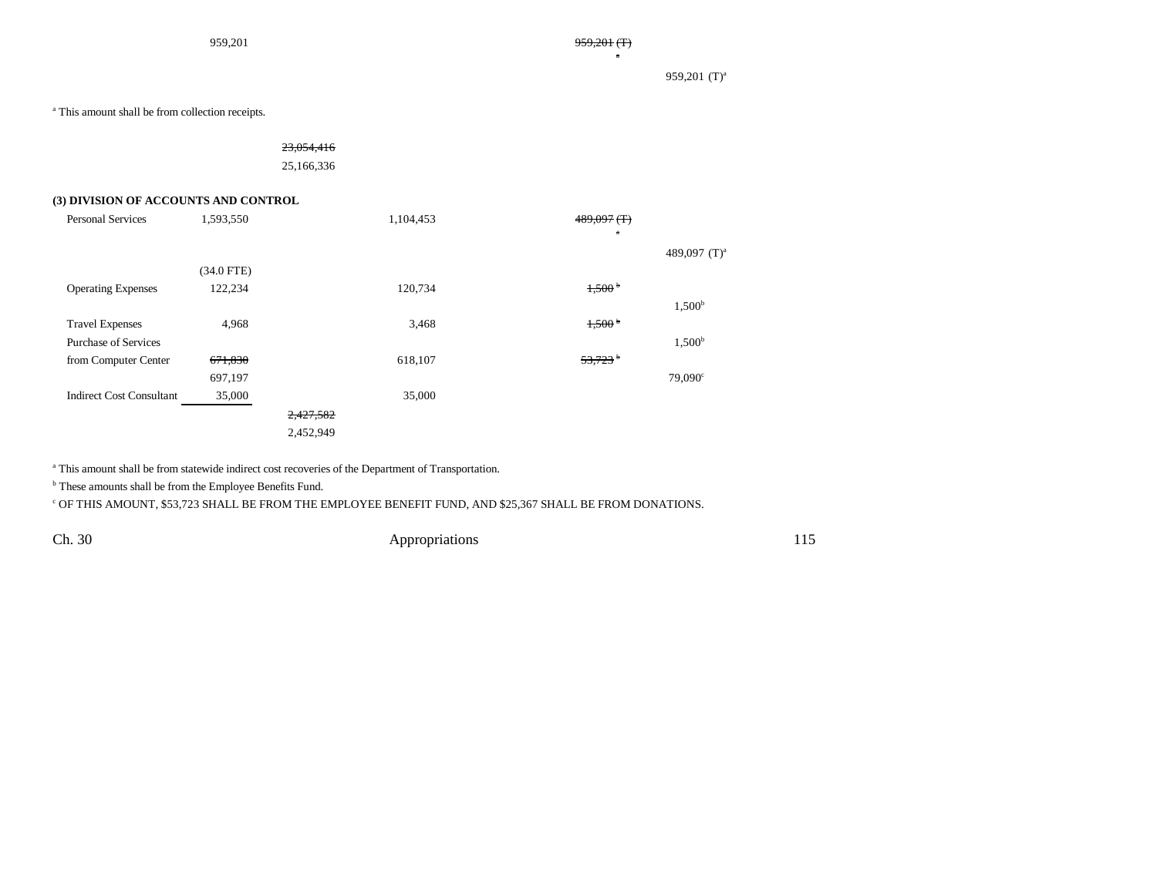959,201  $(T)^a$ 

a This amount shall be from collection receipts.

23,054,416 25,166,336

#### **(3) DIVISION OF ACCOUNTS AND CONTROL**

| <b>Personal Services</b>        | 1,593,550    |           | 1,104,453 | $489,097$ (T)         |                    |
|---------------------------------|--------------|-----------|-----------|-----------------------|--------------------|
|                                 |              |           |           | $\mathbf a$           |                    |
|                                 |              |           |           |                       | 489,097 $(T)^a$    |
|                                 | $(34.0$ FTE) |           |           |                       |                    |
| <b>Operating Expenses</b>       | 122,234      |           | 120,734   | 1,500 <sup>b</sup>    |                    |
|                                 |              |           |           |                       | 1,500 <sup>b</sup> |
| <b>Travel Expenses</b>          | 4,968        |           | 3,468     | 1,500 <sup>b</sup>    |                    |
| <b>Purchase of Services</b>     |              |           |           |                       | 1,500 <sup>b</sup> |
| from Computer Center            | 671,830      |           | 618,107   | $53,723$ <sup>b</sup> |                    |
|                                 | 697,197      |           |           |                       | $79,090^{\circ}$   |
| <b>Indirect Cost Consultant</b> | 35,000       |           | 35,000    |                       |                    |
|                                 |              | 2,427,582 |           |                       |                    |
|                                 |              | 2,452,949 |           |                       |                    |
|                                 |              |           |           |                       |                    |

a This amount shall be from statewide indirect cost recoveries of the Department of Transportation.

b These amounts shall be from the Employee Benefits Fund.

 $^{\rm c}$  OF THIS AMOUNT, \$53,723 SHALL BE FROM THE EMPLOYEE BENEFIT FUND, AND \$25,367 SHALL BE FROM DONATIONS.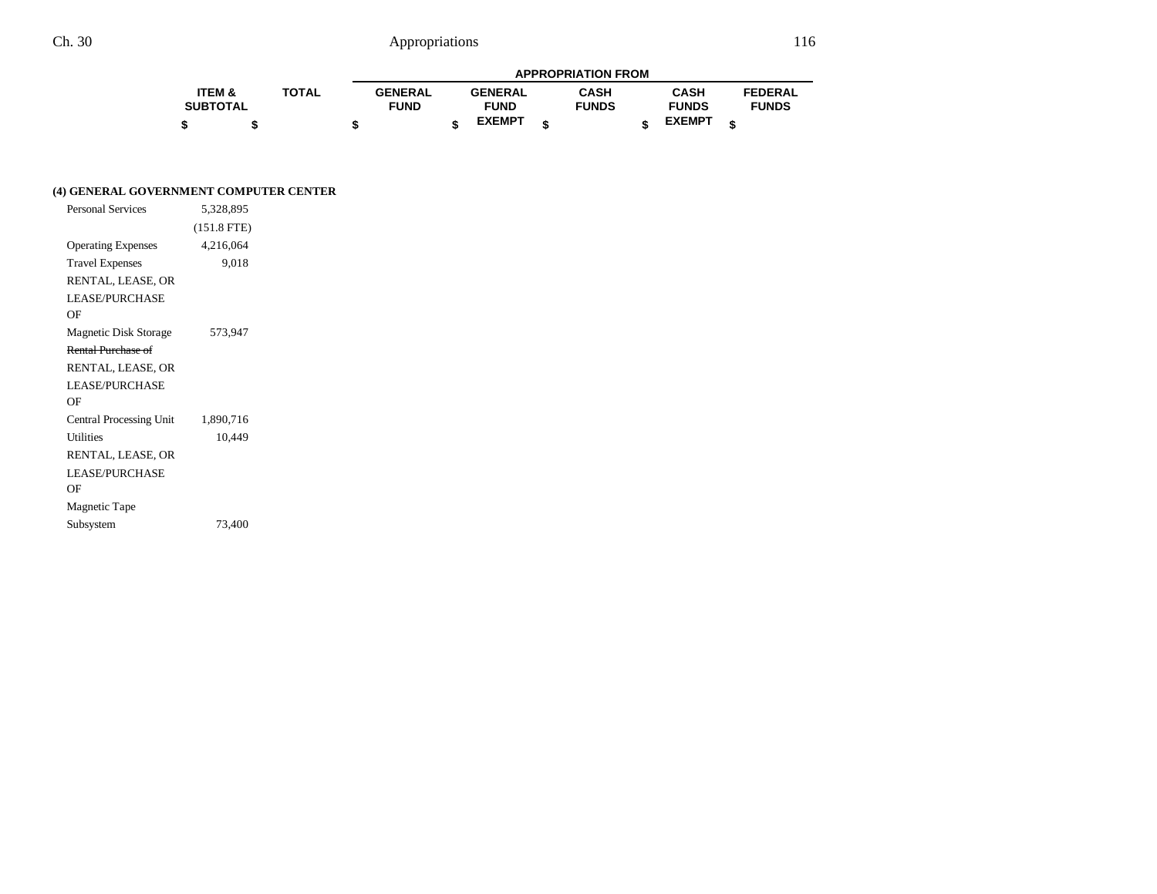|                   |              | <b>APPROPRIATION FROM</b> |                |  |                |  |              |  |               |                |
|-------------------|--------------|---------------------------|----------------|--|----------------|--|--------------|--|---------------|----------------|
| <b>ITEM &amp;</b> | <b>TOTAL</b> |                           | <b>GENERAL</b> |  | <b>GENERAL</b> |  | <b>CASH</b>  |  | <b>CASH</b>   | <b>FEDERAL</b> |
| <b>SUBTOTAL</b>   |              |                           | <b>FUND</b>    |  | <b>FUND</b>    |  | <b>FUNDS</b> |  | <b>FUNDS</b>  | <b>FUNDS</b>   |
|                   |              |                           |                |  | <b>EXEMPT</b>  |  |              |  | <b>EXEMPT</b> |                |

### **(4) GENERAL GOVERNMENT COMPUTER CENTER**

| <b>Personal Services</b>  | 5,328,895     |
|---------------------------|---------------|
|                           | $(151.8$ FTE) |
| <b>Operating Expenses</b> | 4,216,064     |
| <b>Travel Expenses</b>    | 9,018         |
| RENTAL, LEASE, OR         |               |
| <b>LEASE/PURCHASE</b>     |               |
| ΟF                        |               |
| Magnetic Disk Storage     | 573,947       |
| Rental Purchase of        |               |
| RENTAL, LEASE, OR         |               |
| <b>LEASE/PURCHASE</b>     |               |
| ΟF                        |               |
| Central Processing Unit   | 1,890,716     |
| <b>Utilities</b>          | 10,449        |
| RENTAL, LEASE, OR         |               |
| <b>LEASE/PURCHASE</b>     |               |
| ΟF                        |               |
| Magnetic Tape             |               |
| Subsystem                 | 73,400        |
|                           |               |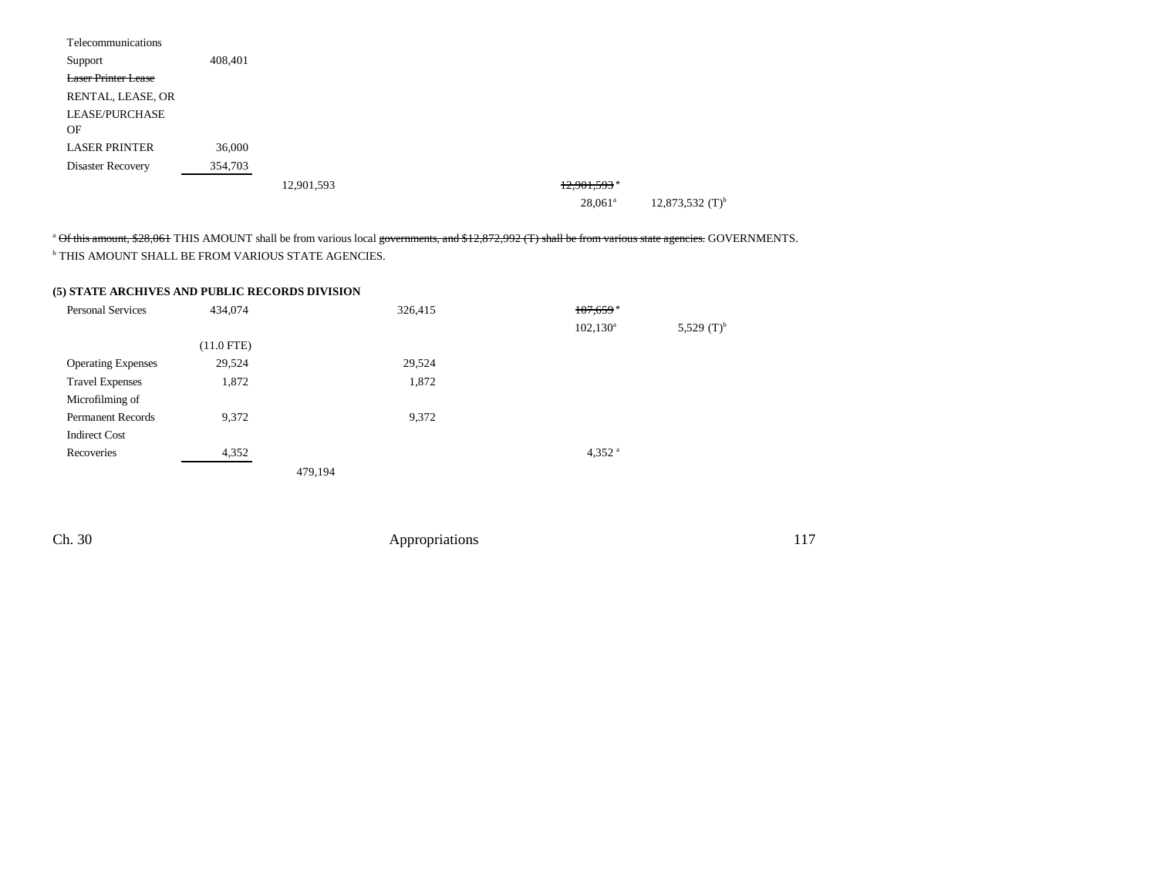| Telecommunications         |         |            |                |                               |
|----------------------------|---------|------------|----------------|-------------------------------|
| Support                    | 408,401 |            |                |                               |
| <b>Laser Printer Lease</b> |         |            |                |                               |
| RENTAL, LEASE, OR          |         |            |                |                               |
| LEASE/PURCHASE             |         |            |                |                               |
| OF                         |         |            |                |                               |
| <b>LASER PRINTER</b>       | 36,000  |            |                |                               |
| Disaster Recovery          | 354,703 |            |                |                               |
|                            |         | 12,901,593 | $12,901,593$ * |                               |
|                            |         |            | $28,061^a$     | $12,873,532$ (T) <sup>b</sup> |

<sup>a</sup> Of this amount, \$28,061 THIS AMOUNT shall be from various local governments, and \$12,872,992 (T) shall be from various state agencies. GOVERNMENTS. b THIS AMOUNT SHALL BE FROM VARIOUS STATE AGENCIES.

### **(5) STATE ARCHIVES AND PUBLIC RECORDS DIVISION**

| <b>Personal Services</b>  | 434,074      |         | 326,415 | $107,659$ <sup>a</sup> |               |
|---------------------------|--------------|---------|---------|------------------------|---------------|
|                           |              |         |         | $102, 130^{\rm a}$     | 5,529 $(T)^b$ |
|                           | $(11.0$ FTE) |         |         |                        |               |
| <b>Operating Expenses</b> | 29,524       |         | 29,524  |                        |               |
| <b>Travel Expenses</b>    | 1,872        |         | 1,872   |                        |               |
| Microfilming of           |              |         |         |                        |               |
| <b>Permanent Records</b>  | 9,372        |         | 9,372   |                        |               |
| <b>Indirect Cost</b>      |              |         |         |                        |               |
| Recoveries                | 4,352        |         |         | 4,352 $a$              |               |
|                           |              | 479,194 |         |                        |               |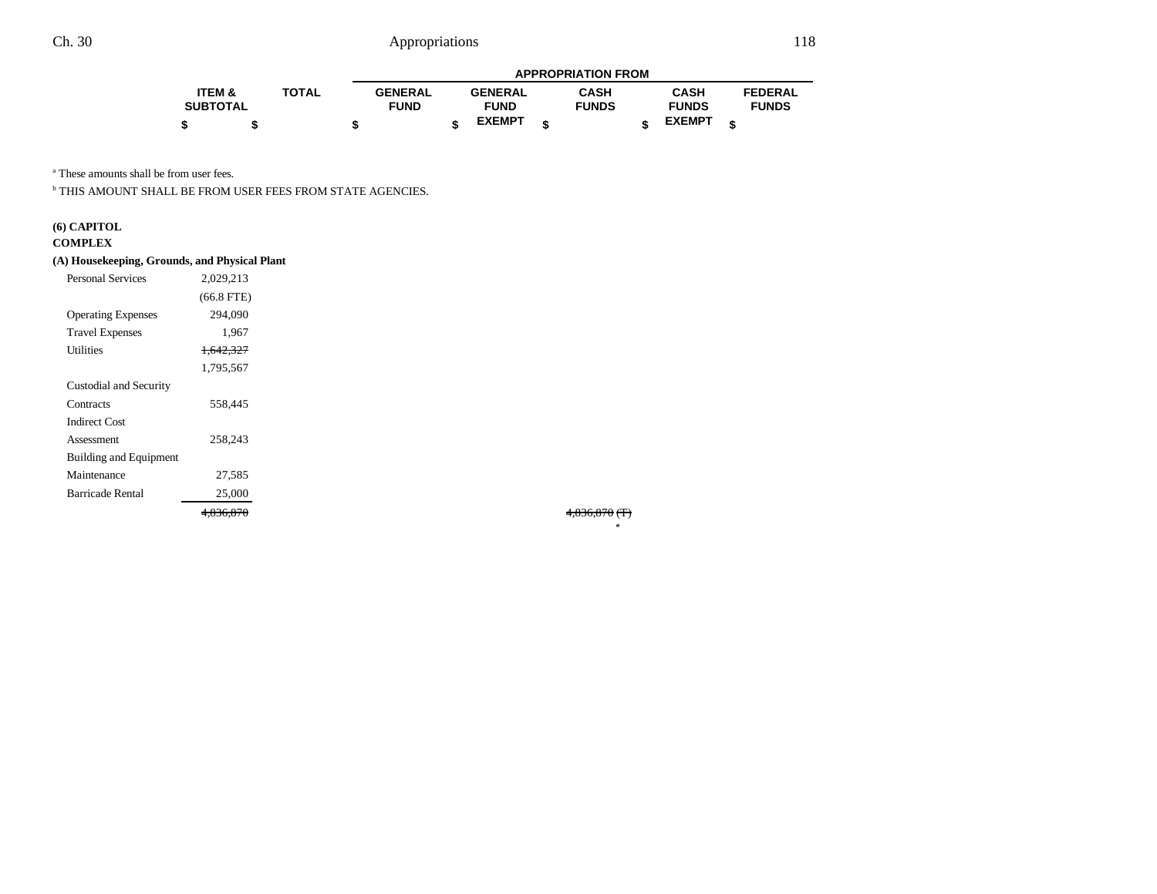|                   |              | <b>APPROPRIATION FROM</b> |  |                |  |              |  |               |   |                |
|-------------------|--------------|---------------------------|--|----------------|--|--------------|--|---------------|---|----------------|
| <b>ITEM &amp;</b> | <b>TOTAL</b> | <b>GENERAL</b>            |  | <b>GENERAL</b> |  | <b>CASH</b>  |  | CASH          |   | <b>FEDERAL</b> |
| <b>SUBTOTAL</b>   |              | <b>FUND</b>               |  | <b>FUND</b>    |  | <b>FUNDS</b> |  | <b>FUNDS</b>  |   | <b>FUNDS</b>   |
|                   |              |                           |  | <b>EXEMPT</b>  |  |              |  | <b>EXEMPT</b> | ¢ |                |

a These amounts shall be from user fees.

b THIS AMOUNT SHALL BE FROM USER FEES FROM STATE AGENCIES.

# **(6) CAPITOL**

#### **COMPLEX**

#### **(A) Housekeeping, Grounds, and Physical Plant**

| <b>Personal Services</b>  | 2,029,213            |  |
|---------------------------|----------------------|--|
|                           | $(66.8$ FTE)         |  |
| <b>Operating Expenses</b> | 294,090              |  |
| <b>Travel Expenses</b>    | 1,967                |  |
| Utilities                 | <del>1,642,327</del> |  |
|                           | 1,795,567            |  |
| Custodial and Security    |                      |  |
| Contracts                 | 558,445              |  |
| <b>Indirect Cost</b>      |                      |  |
| Assessment                | 258.243              |  |
| Building and Equipment    |                      |  |
| Maintenance               | 27,585               |  |
| <b>Barricade Rental</b>   | 25,000               |  |
|                           | <del>4.836.870</del> |  |

4,836,870 (T)

a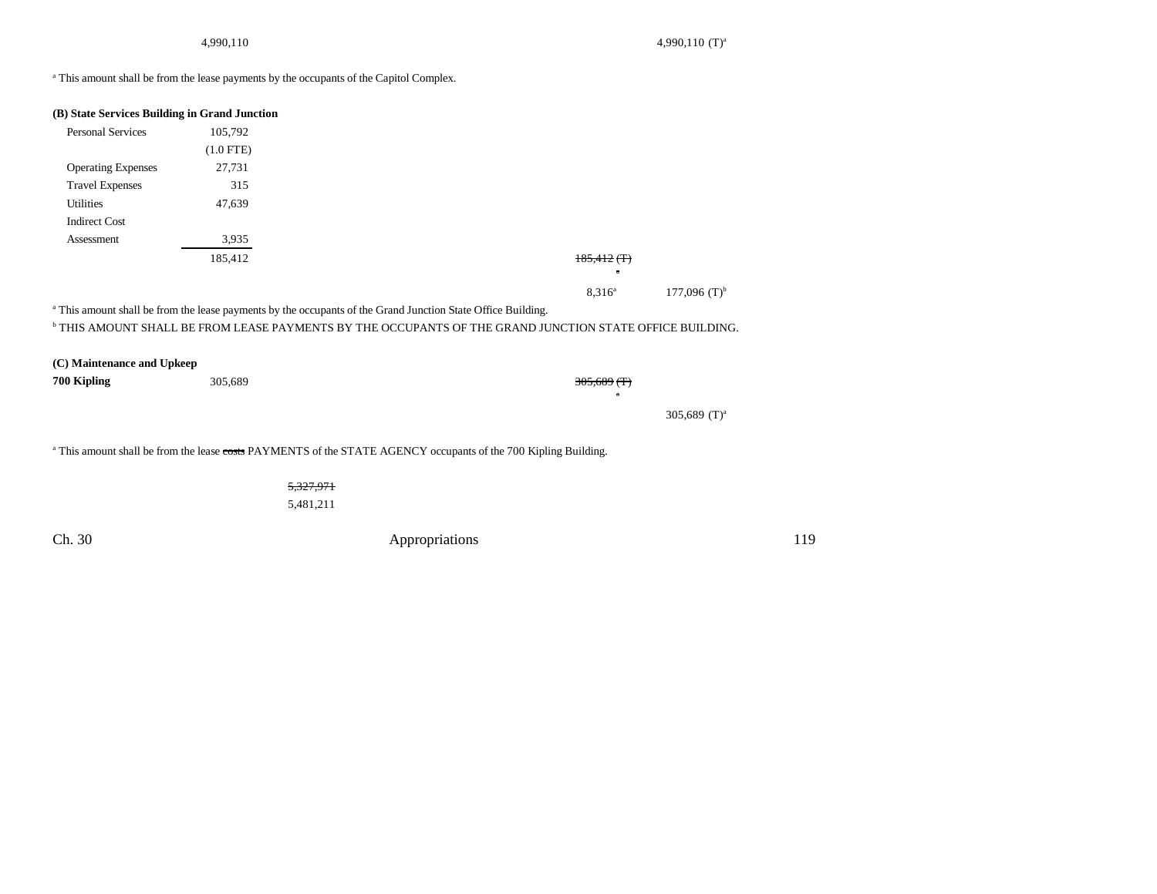4,990,110 (T)<sup>a</sup> 4,990,110 (T)<sup>a</sup>

<sup>a</sup> This amount shall be from the lease payments by the occupants of the Capitol Complex.

| (B) State Services Building in Grand Junction |             |                                                                                                                            |     |
|-----------------------------------------------|-------------|----------------------------------------------------------------------------------------------------------------------------|-----|
| <b>Personal Services</b>                      | 105,792     |                                                                                                                            |     |
|                                               | $(1.0$ FTE) |                                                                                                                            |     |
| <b>Operating Expenses</b>                     | 27,731      |                                                                                                                            |     |
| <b>Travel Expenses</b>                        | 315         |                                                                                                                            |     |
| Utilities                                     | 47,639      |                                                                                                                            |     |
| <b>Indirect Cost</b>                          |             |                                                                                                                            |     |
| Assessment                                    | 3,935       |                                                                                                                            |     |
|                                               | 185,412     | $185,412$ (T)                                                                                                              |     |
|                                               |             |                                                                                                                            |     |
|                                               |             | 177,096 $(T)^{b}$<br>$8,316^a$                                                                                             |     |
|                                               |             | <sup>a</sup> This amount shall be from the lease payments by the occupants of the Grand Junction State Office Building.    |     |
|                                               |             | <sup>b</sup> THIS AMOUNT SHALL BE FROM LEASE PAYMENTS BY THE OCCUPANTS OF THE GRAND JUNCTION STATE OFFICE BUILDING.        |     |
|                                               |             |                                                                                                                            |     |
| (C) Maintenance and Upkeep                    |             |                                                                                                                            |     |
| 700 Kipling                                   | 305,689     | $305,689$ (T)<br>ā                                                                                                         |     |
|                                               |             | 305,689 $(T)^a$                                                                                                            |     |
|                                               |             |                                                                                                                            |     |
|                                               |             | <sup>a</sup> This amount shall be from the lease costs PAYMENTS of the STATE AGENCY occupants of the 700 Kipling Building. |     |
|                                               | 5,327,971   |                                                                                                                            |     |
|                                               | 5,481,211   |                                                                                                                            |     |
| Ch. 30                                        |             | Appropriations                                                                                                             | 119 |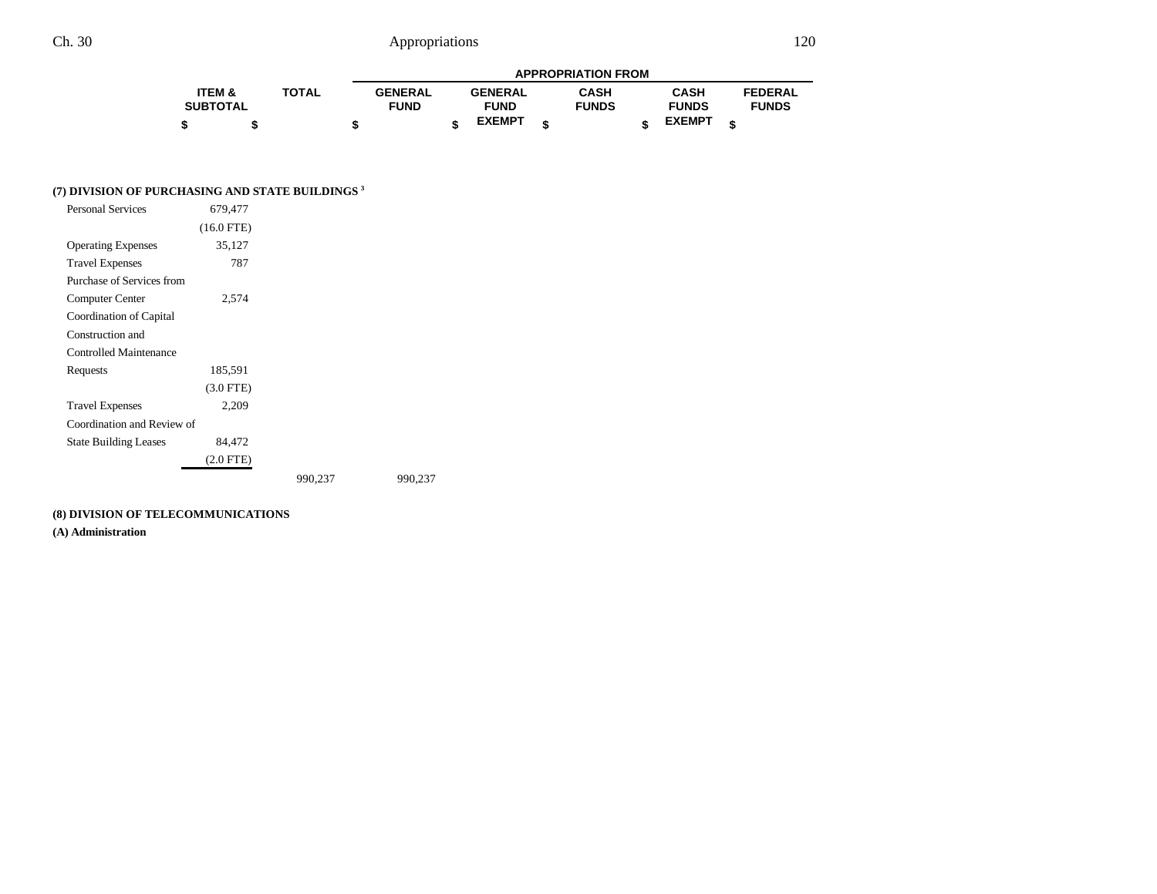| <b>APPROPRIATION FROM</b> |  |       |                |  |                |  |              |  |               |  |                |
|---------------------------|--|-------|----------------|--|----------------|--|--------------|--|---------------|--|----------------|
| <b>ITEM &amp;</b>         |  | TOTAL | <b>GENERAL</b> |  | <b>GENERAL</b> |  | <b>CASH</b>  |  | <b>CASH</b>   |  | <b>FEDERAL</b> |
| <b>SUBTOTAL</b>           |  |       | <b>FUND</b>    |  | <b>FUND</b>    |  | <b>FUNDS</b> |  | <b>FUNDS</b>  |  | <b>FUNDS</b>   |
|                           |  |       |                |  | <b>EXEMPT</b>  |  |              |  | <b>EXEMPT</b> |  |                |

### **(7) DIVISION OF PURCHASING AND STATE BUILDINGS 3**

| <b>Personal Services</b>      | 679,477      |         |         |
|-------------------------------|--------------|---------|---------|
|                               | $(16.0$ FTE) |         |         |
| <b>Operating Expenses</b>     | 35,127       |         |         |
| <b>Travel Expenses</b>        | 787          |         |         |
| Purchase of Services from     |              |         |         |
| Computer Center               | 2,574        |         |         |
| Coordination of Capital       |              |         |         |
| Construction and              |              |         |         |
| <b>Controlled Maintenance</b> |              |         |         |
| Requests                      | 185,591      |         |         |
|                               | $(3.0$ FTE)  |         |         |
| <b>Travel Expenses</b>        | 2,209        |         |         |
| Coordination and Review of    |              |         |         |
| <b>State Building Leases</b>  | 84,472       |         |         |
|                               | $(2.0$ FTE)  |         |         |
|                               |              | 990,237 | 990,237 |

### **(8) DIVISION OF TELECOMMUNICATIONS**

**(A) Administration**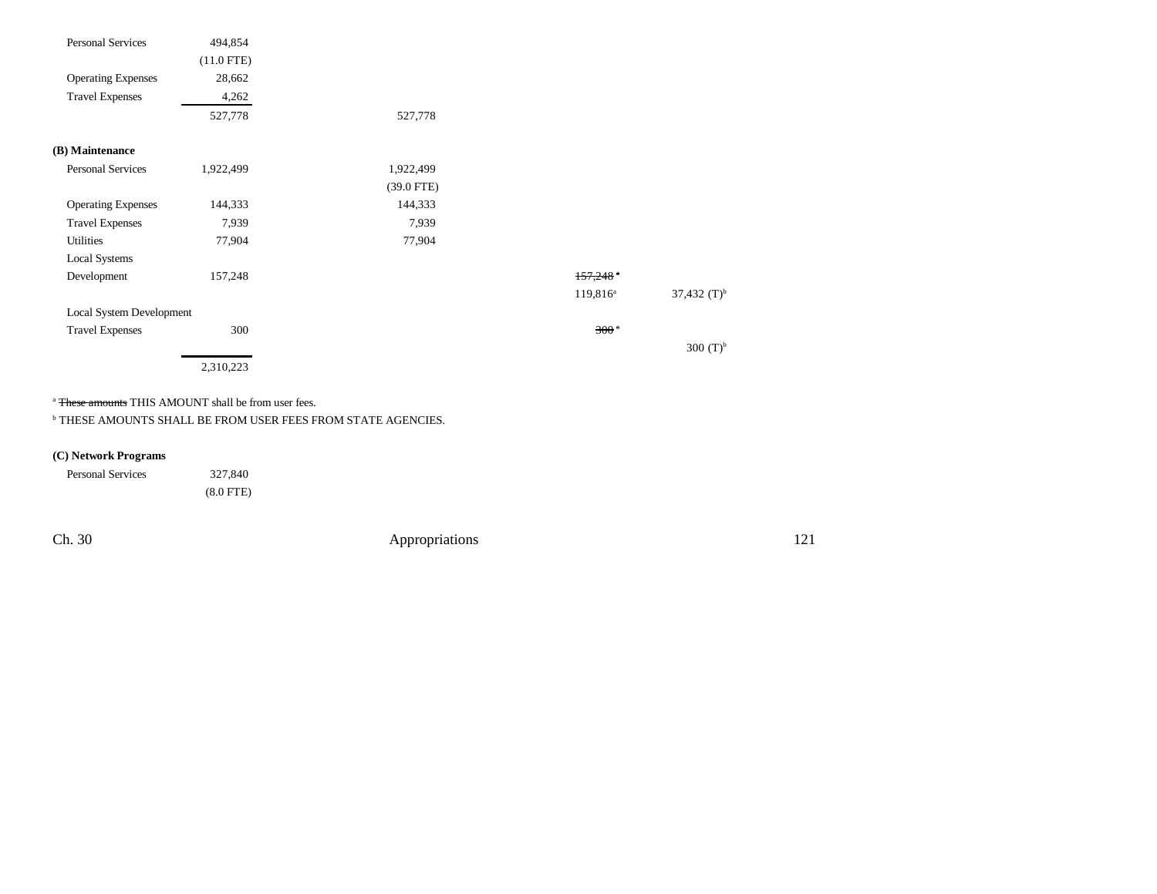| <b>Personal Services</b>  | 494,854      |              |                        |                  |
|---------------------------|--------------|--------------|------------------------|------------------|
|                           | $(11.0$ FTE) |              |                        |                  |
| <b>Operating Expenses</b> | 28,662       |              |                        |                  |
| <b>Travel Expenses</b>    | 4,262        |              |                        |                  |
|                           | 527,778      | 527,778      |                        |                  |
| (B) Maintenance           |              |              |                        |                  |
| <b>Personal Services</b>  | 1,922,499    | 1,922,499    |                        |                  |
|                           |              | $(39.0$ FTE) |                        |                  |
| <b>Operating Expenses</b> | 144,333      | 144,333      |                        |                  |
| <b>Travel Expenses</b>    | 7,939        | 7,939        |                        |                  |
| Utilities                 | 77,904       | 77,904       |                        |                  |
| <b>Local Systems</b>      |              |              |                        |                  |
| Development               | 157,248      |              | $157,248$ <sup>a</sup> |                  |
|                           |              |              | $119,816^a$            | 37,432 $(T)^{b}$ |
| Local System Development  |              |              |                        |                  |
| <b>Travel Expenses</b>    | 300          |              | 300 <sup>a</sup>       |                  |
|                           |              |              |                        | 300 $(T)^{b}$    |
|                           | 2,310,223    |              |                        |                  |

<sup>a</sup> <del>These amounts</del> THIS AMOUNT shall be from user fees.

b THESE AMOUNTS SHALL BE FROM USER FEES FROM STATE AGENCIES.

### **(C) Network Programs**

| <b>Personal Services</b> | 327,840     |
|--------------------------|-------------|
|                          | $(8.0$ FTE) |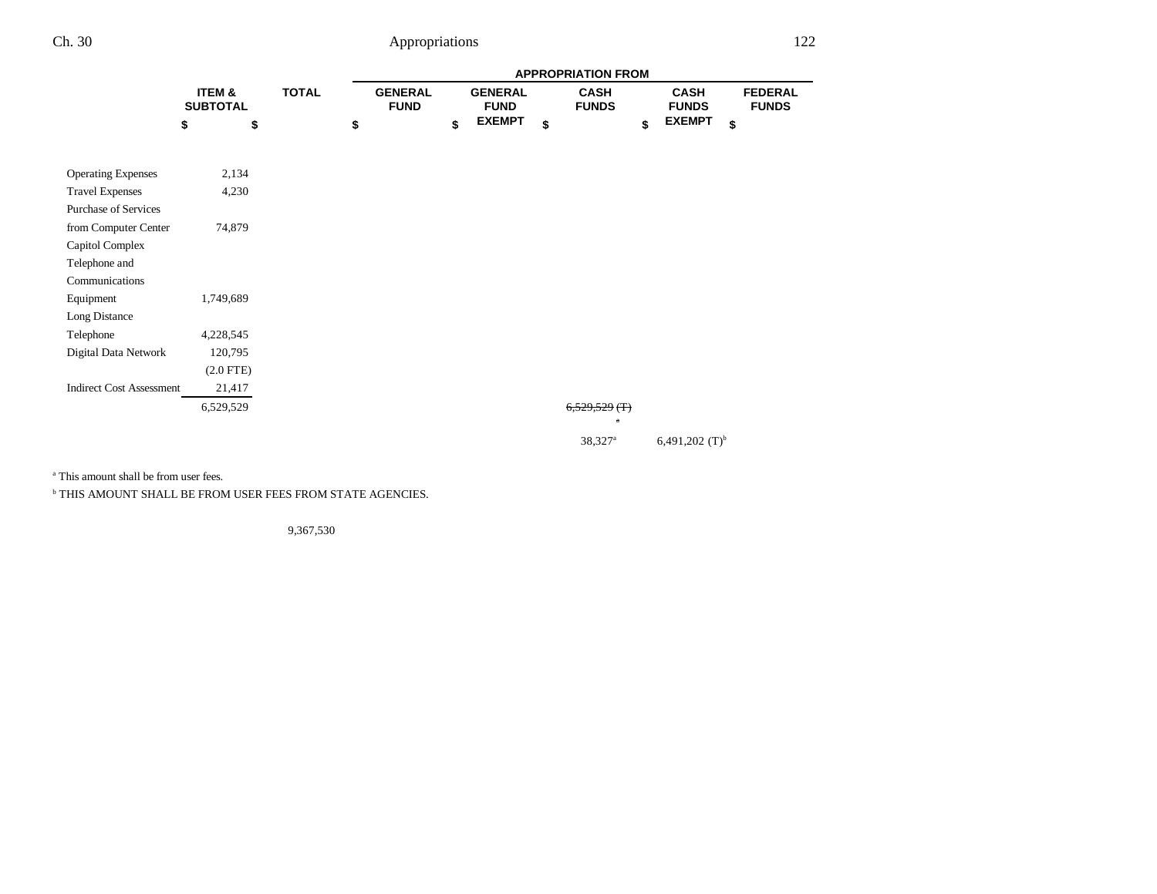|                                 |                           |              | <b>APPROPRIATION FROM</b> |                               |    |                               |    |                                 |    |                             |                                |  |  |
|---------------------------------|---------------------------|--------------|---------------------------|-------------------------------|----|-------------------------------|----|---------------------------------|----|-----------------------------|--------------------------------|--|--|
|                                 | ITEM &<br><b>SUBTOTAL</b> | <b>TOTAL</b> |                           | <b>GENERAL</b><br><b>FUND</b> |    | <b>GENERAL</b><br><b>FUND</b> |    | <b>CASH</b><br><b>FUNDS</b>     |    | <b>CASH</b><br><b>FUNDS</b> | <b>FEDERAL</b><br><b>FUNDS</b> |  |  |
|                                 | \$<br>\$                  |              | \$                        |                               | \$ | <b>EXEMPT</b>                 | \$ |                                 | \$ | <b>EXEMPT</b><br>\$         |                                |  |  |
| <b>Operating Expenses</b>       | 2,134                     |              |                           |                               |    |                               |    |                                 |    |                             |                                |  |  |
| <b>Travel Expenses</b>          | 4,230                     |              |                           |                               |    |                               |    |                                 |    |                             |                                |  |  |
| <b>Purchase of Services</b>     |                           |              |                           |                               |    |                               |    |                                 |    |                             |                                |  |  |
| from Computer Center            | 74,879                    |              |                           |                               |    |                               |    |                                 |    |                             |                                |  |  |
| Capitol Complex                 |                           |              |                           |                               |    |                               |    |                                 |    |                             |                                |  |  |
| Telephone and                   |                           |              |                           |                               |    |                               |    |                                 |    |                             |                                |  |  |
| Communications                  |                           |              |                           |                               |    |                               |    |                                 |    |                             |                                |  |  |
| Equipment                       | 1,749,689                 |              |                           |                               |    |                               |    |                                 |    |                             |                                |  |  |
| <b>Long Distance</b>            |                           |              |                           |                               |    |                               |    |                                 |    |                             |                                |  |  |
| Telephone                       | 4,228,545                 |              |                           |                               |    |                               |    |                                 |    |                             |                                |  |  |
| Digital Data Network            | 120,795                   |              |                           |                               |    |                               |    |                                 |    |                             |                                |  |  |
|                                 | $(2.0$ FTE)               |              |                           |                               |    |                               |    |                                 |    |                             |                                |  |  |
| <b>Indirect Cost Assessment</b> | 21,417                    |              |                           |                               |    |                               |    |                                 |    |                             |                                |  |  |
|                                 | 6,529,529                 |              |                           |                               |    |                               |    | $6,529,529$ (T)<br>$\mathbf{r}$ |    |                             |                                |  |  |
|                                 |                           |              |                           |                               |    |                               |    | 38,327 <sup>a</sup>             |    | 6,491,202 $(T)^{b}$         |                                |  |  |

a This amount shall be from user fees.

b THIS AMOUNT SHALL BE FROM USER FEES FROM STATE AGENCIES.

9,367,530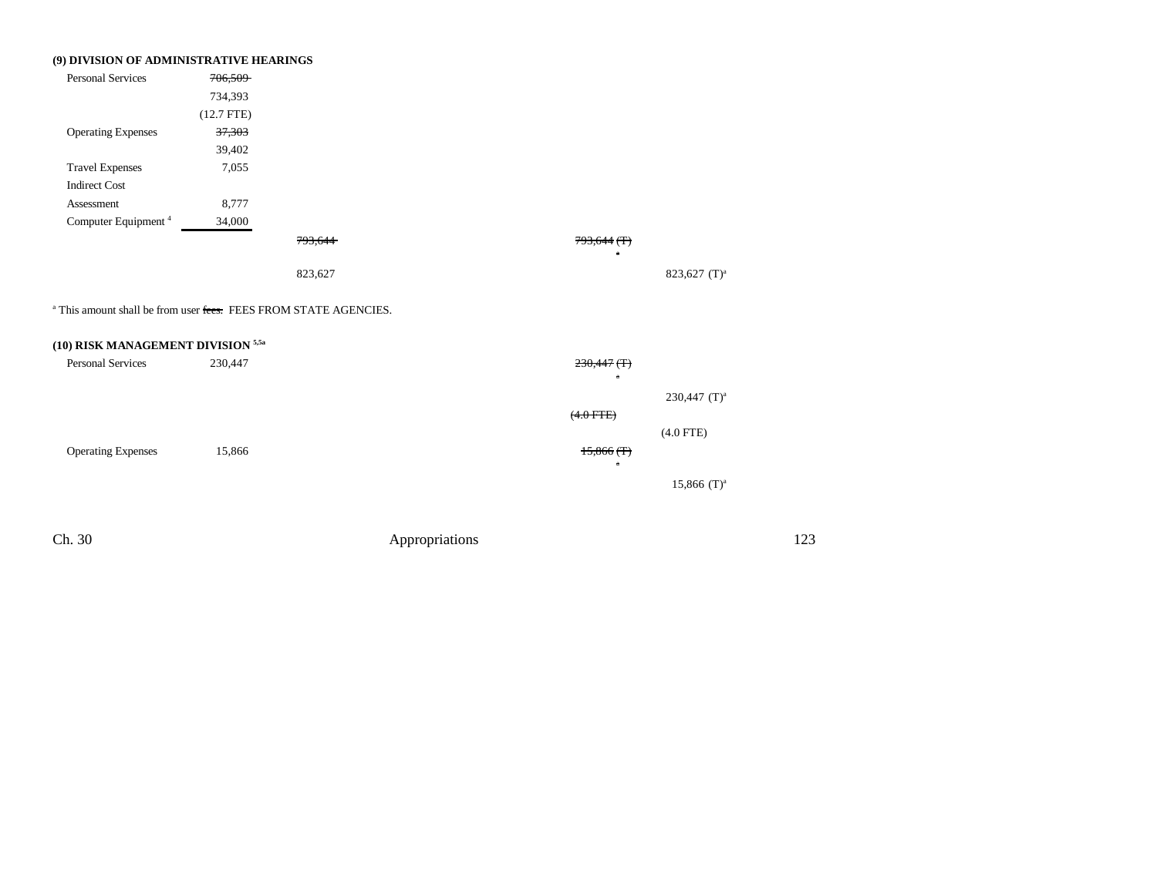| (9) DIVISION OF ADMINISTRATIVE HEARINGS                                     |              |                |                               |                           |     |
|-----------------------------------------------------------------------------|--------------|----------------|-------------------------------|---------------------------|-----|
| <b>Personal Services</b>                                                    | 706,509      |                |                               |                           |     |
|                                                                             | 734,393      |                |                               |                           |     |
|                                                                             | $(12.7$ FTE) |                |                               |                           |     |
| <b>Operating Expenses</b>                                                   | 37,303       |                |                               |                           |     |
|                                                                             | 39,402       |                |                               |                           |     |
| <b>Travel Expenses</b>                                                      | 7,055        |                |                               |                           |     |
| <b>Indirect Cost</b>                                                        |              |                |                               |                           |     |
| Assessment                                                                  | 8,777        |                |                               |                           |     |
| Computer Equipment <sup>4</sup>                                             | 34,000       |                |                               |                           |     |
|                                                                             |              | 793,644        | $793,644$ (T)<br>$\mathbf{a}$ |                           |     |
|                                                                             |              | 823,627        |                               | 823,627 (T) <sup>a</sup>  |     |
| <sup>a</sup> This amount shall be from user fees. FEES FROM STATE AGENCIES. |              |                |                               |                           |     |
| (10) RISK MANAGEMENT DIVISION <sup>5,5a</sup>                               |              |                |                               |                           |     |
| <b>Personal Services</b>                                                    | 230,447      |                | $230,447$ (T)                 |                           |     |
|                                                                             |              |                |                               | 230,447 $(T)^a$           |     |
|                                                                             |              |                | $(4.0$ FTE)                   |                           |     |
|                                                                             |              |                |                               | $(4.0$ FTE)               |     |
| <b>Operating Expenses</b>                                                   | 15,866       |                | $15,866$ (T)                  |                           |     |
|                                                                             |              |                | $\overline{a}$                |                           |     |
|                                                                             |              |                |                               | $15,866$ (T) <sup>a</sup> |     |
|                                                                             |              |                |                               |                           |     |
| Ch. 30                                                                      |              | Appropriations |                               |                           | 123 |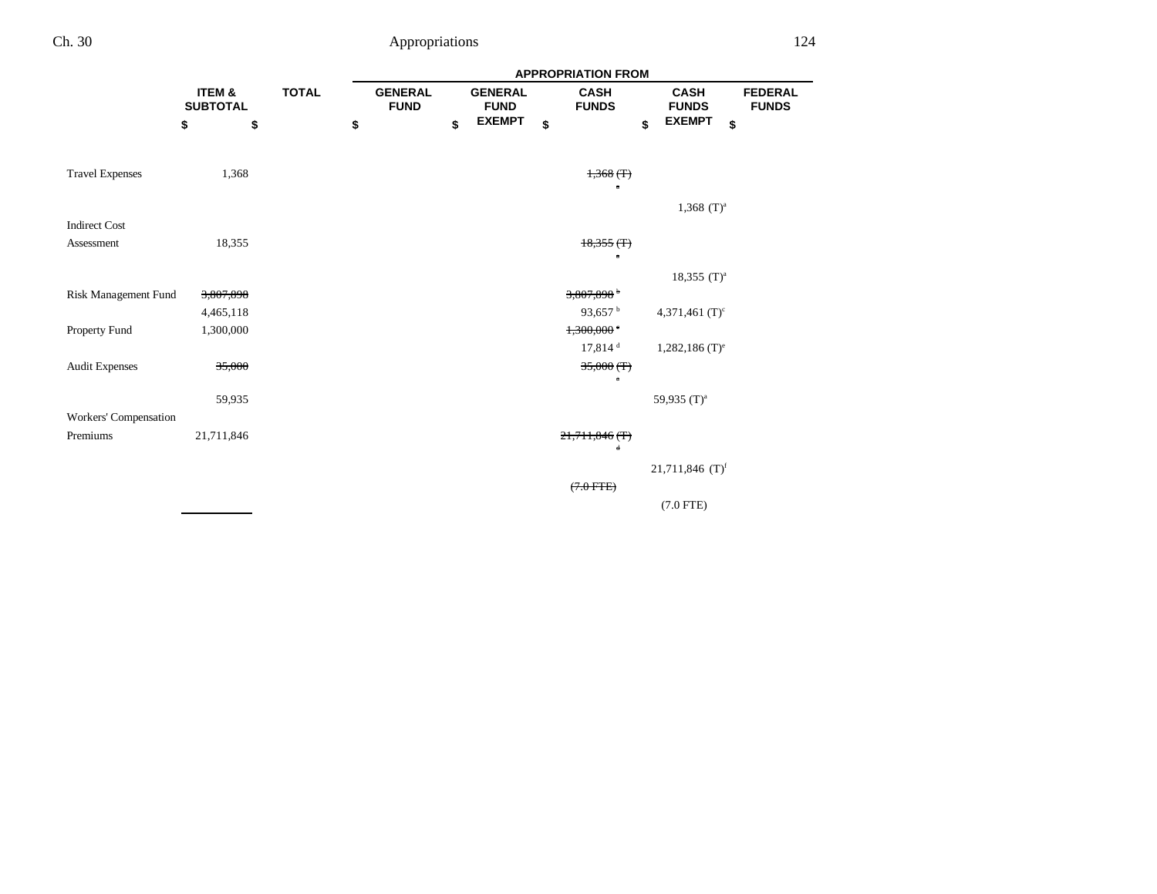|                        |                           |              | <b>APPROPRIATION FROM</b>     |    |                               |    |                             |    |                              |                                |  |  |  |
|------------------------|---------------------------|--------------|-------------------------------|----|-------------------------------|----|-----------------------------|----|------------------------------|--------------------------------|--|--|--|
|                        | ITEM &<br><b>SUBTOTAL</b> | <b>TOTAL</b> | <b>GENERAL</b><br><b>FUND</b> |    | <b>GENERAL</b><br><b>FUND</b> |    | <b>CASH</b><br><b>FUNDS</b> |    | <b>CASH</b><br><b>FUNDS</b>  | <b>FEDERAL</b><br><b>FUNDS</b> |  |  |  |
|                        | \$<br>\$                  | \$           |                               | \$ | <b>EXEMPT</b>                 | \$ |                             | \$ | <b>EXEMPT</b><br>\$          |                                |  |  |  |
|                        |                           |              |                               |    |                               |    |                             |    |                              |                                |  |  |  |
| <b>Travel Expenses</b> | 1,368                     |              |                               |    |                               |    | $1,368$ (T)<br>$\alpha$     |    |                              |                                |  |  |  |
|                        |                           |              |                               |    |                               |    |                             |    | $1,368$ (T) <sup>a</sup>     |                                |  |  |  |
| <b>Indirect Cost</b>   |                           |              |                               |    |                               |    |                             |    |                              |                                |  |  |  |
| Assessment             | 18,355                    |              |                               |    |                               |    | $18,355$ (T)                |    |                              |                                |  |  |  |
|                        |                           |              |                               |    |                               |    | $\mathbf{a}$                |    |                              |                                |  |  |  |
|                        |                           |              |                               |    |                               |    |                             |    | 18,355 $(T)^a$               |                                |  |  |  |
| Risk Management Fund   | 3,807,898                 |              |                               |    |                               |    | 3,807,898                   |    |                              |                                |  |  |  |
|                        | 4,465,118                 |              |                               |    |                               |    | 93,657 $^{\rm b}$           |    | 4,371,461 $(T)^c$            |                                |  |  |  |
| Property Fund          | 1,300,000                 |              |                               |    |                               |    | 1,300,000                   |    |                              |                                |  |  |  |
|                        |                           |              |                               |    |                               |    | $17,814$ <sup>d</sup>       |    | $1,282,186$ (T) <sup>e</sup> |                                |  |  |  |
| <b>Audit Expenses</b>  | 35,000                    |              |                               |    |                               |    | $35,000$ (T)                |    |                              |                                |  |  |  |
|                        |                           |              |                               |    |                               |    | $\alpha$                    |    |                              |                                |  |  |  |
|                        | 59,935                    |              |                               |    |                               |    |                             |    | 59,935 (T) <sup>a</sup>      |                                |  |  |  |
| Workers' Compensation  |                           |              |                               |    |                               |    |                             |    |                              |                                |  |  |  |
| Premiums               | 21,711,846                |              |                               |    |                               |    | $21,711,846$ (T)<br>d       |    |                              |                                |  |  |  |
|                        |                           |              |                               |    |                               |    |                             |    |                              |                                |  |  |  |
|                        |                           |              |                               |    |                               |    |                             |    | 21,711,846 $(T)^f$           |                                |  |  |  |
|                        |                           |              |                               |    |                               |    | $(7.0$ FTE)                 |    |                              |                                |  |  |  |
|                        |                           |              |                               |    |                               |    |                             |    | $(7.0$ FTE)                  |                                |  |  |  |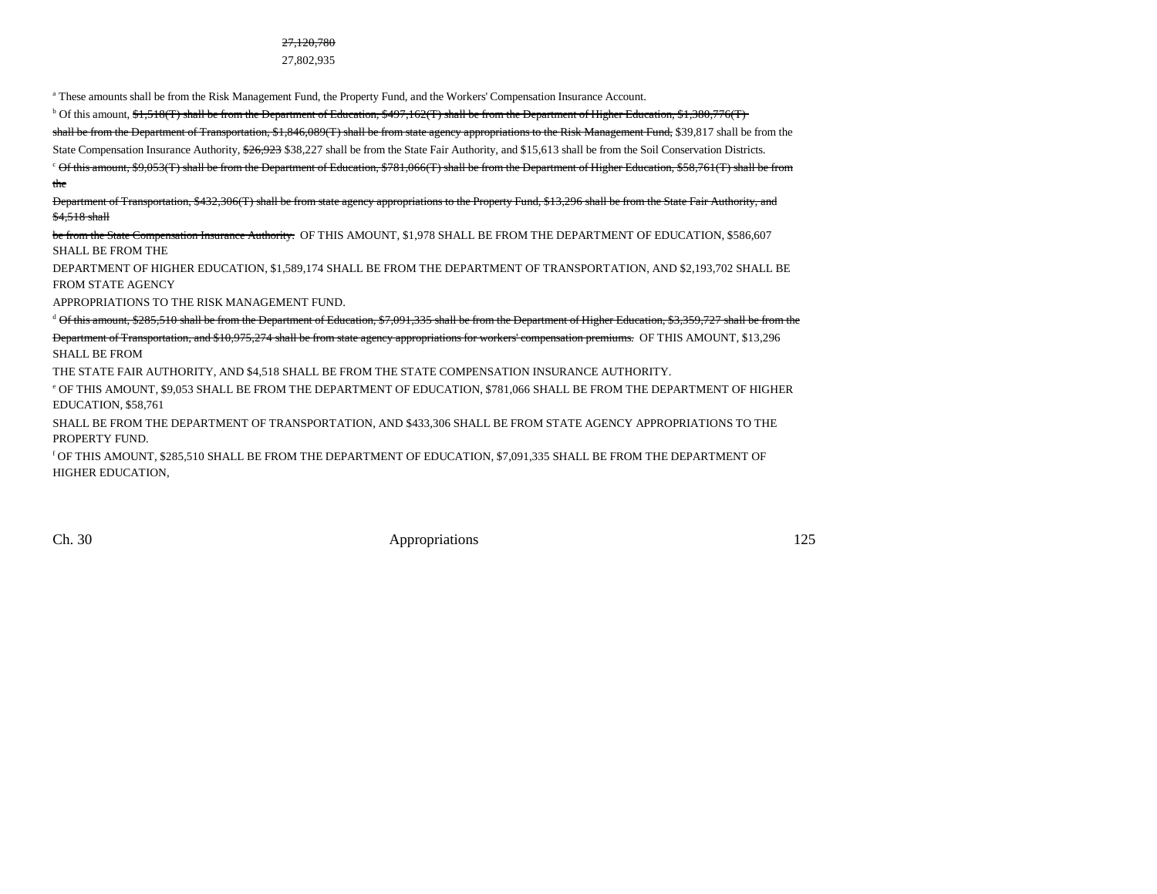#### 27,120,780

27,802,935

a These amounts shall be from the Risk Management Fund, the Property Fund, and the Workers' Compensation Insurance Account.

 $b$  Of this amount,  $f_1, f_2, f_3$  shall be from the Department of Education,  $f_3$ 497,162(T) shall be from the Department of Higher Education,  $f_3, f_3$ 80,776(T)

shall be from the Department of Transportation, \$1,846,089(T) shall be from state agency appropriations to the Risk Management Fund, \$39,817 shall be from the

State Compensation Insurance Authority, \$26,923 \$38,227 shall be from the State Fair Authority, and \$15,613 shall be from the Soil Conservation Districts.

 $c$  Of this amount, \$9,053(T) shall be from the Department of Education, \$781,066(T) shall be from the Department of Higher Education, \$58,761(T) shall be from the

Department of Transportation, \$432,306(T) shall be from state agency appropriations to the Property Fund, \$13,296 shall be from the State Fair Authority, and \$4,518 shall

be from the State Compensation Insurance Authority. OF THIS AMOUNT, \$1,978 SHALL BE FROM THE DEPARTMENT OF EDUCATION, \$586,607 SHALL BE FROM THE

DEPARTMENT OF HIGHER EDUCATION, \$1,589,174 SHALL BE FROM THE DEPARTMENT OF TRANSPORTATION, AND \$2,193,702 SHALL BE FROM STATE AGENCY

APPROPRIATIONS TO THE RISK MANAGEMENT FUND.

 $d$  Of this amount, \$285,510 shall be from the Department of Education, \$7,091,335 shall be from the Department of Higher Education, \$3,359,727 shall be from the Department of Transportation, and \$10,975,274 shall be from state agency appropriations for workers' compensation premiums. OF THIS AMOUNT, \$13,296 SHALL BE FROM

THE STATE FAIR AUTHORITY, AND \$4,518 SHALL BE FROM THE STATE COMPENSATION INSURANCE AUTHORITY.

e OF THIS AMOUNT, \$9,053 SHALL BE FROM THE DEPARTMENT OF EDUCATION, \$781,066 SHALL BE FROM THE DEPARTMENT OF HIGHER EDUCATION, \$58,761

SHALL BE FROM THE DEPARTMENT OF TRANSPORTATION, AND \$433,306 SHALL BE FROM STATE AGENCY APPROPRIATIONS TO THE PROPERTY FUND.

f OF THIS AMOUNT, \$285,510 SHALL BE FROM THE DEPARTMENT OF EDUCATION, \$7,091,335 SHALL BE FROM THE DEPARTMENT OF HIGHER EDUCATION,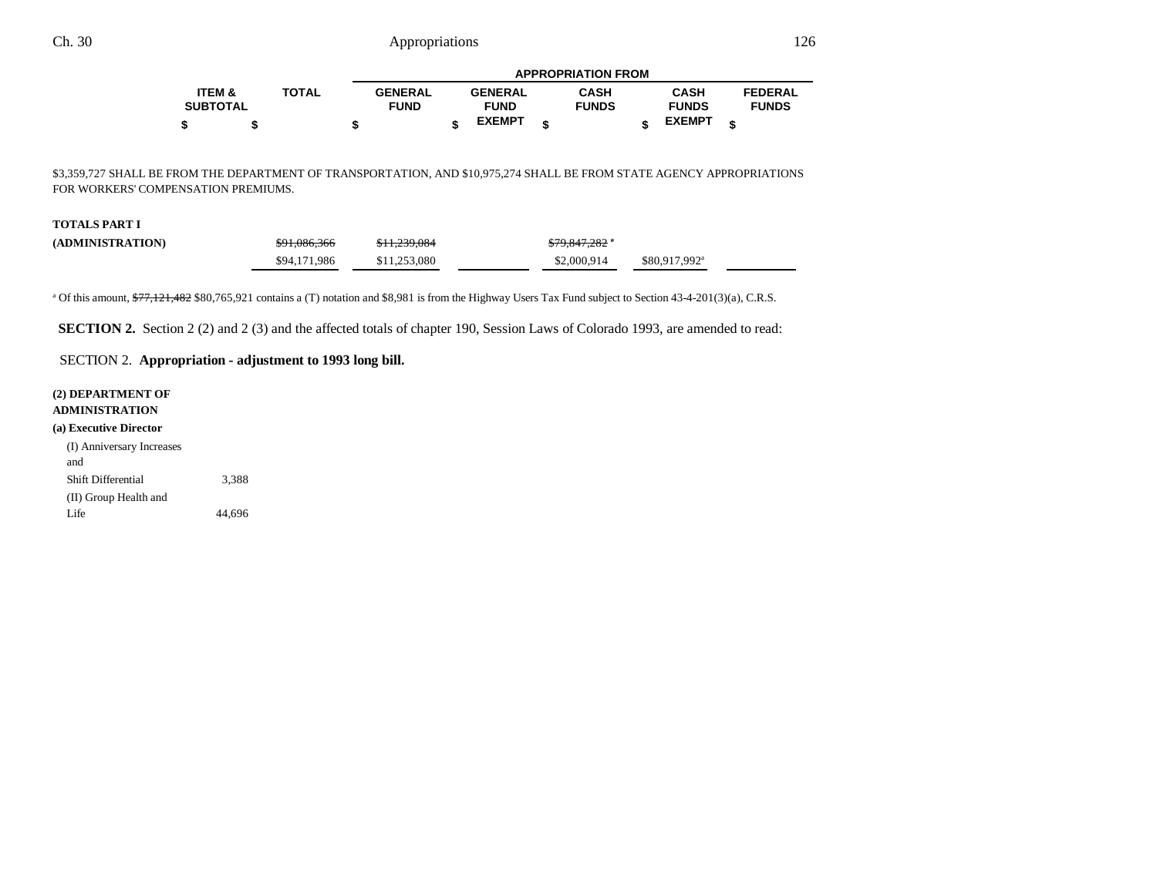|                 |              |                | <b>APPROPRIATION FROM</b> |                |  |              |  |               |                |  |  |  |  |
|-----------------|--------------|----------------|---------------------------|----------------|--|--------------|--|---------------|----------------|--|--|--|--|
| ITEM &          | <b>TOTAL</b> | <b>GENERAL</b> |                           | <b>GENERAL</b> |  | <b>CASH</b>  |  | <b>CASH</b>   | <b>FEDERAL</b> |  |  |  |  |
| <b>SUBTOTAL</b> |              | <b>FUND</b>    |                           | <b>FUND</b>    |  | <b>FUNDS</b> |  | <b>FUNDS</b>  | <b>FUNDS</b>   |  |  |  |  |
|                 |              |                |                           | <b>EXEMPT</b>  |  |              |  | <b>EXEMPT</b> |                |  |  |  |  |

\$3,359,727 SHALL BE FROM THE DEPARTMENT OF TRANSPORTATION, AND \$10,975,274 SHALL BE FROM STATE AGENCY APPROPRIATIONS FOR WORKERS' COMPENSATION PREMIUMS.

#### **TOTALS PART I**

| (ADMINISTRATION) | \$91,086,366 | \$11,239,084 | <del>\$79,847,282</del> * |                           |  |
|------------------|--------------|--------------|---------------------------|---------------------------|--|
|                  | \$94,171,986 | \$11,253,080 | \$2,000,914               | \$80,917,992 <sup>a</sup> |  |

<sup>a</sup> Of this amount,  $\frac{277}{121}$ , 482 \$80,765,921 contains a (T) notation and \$8,981 is from the Highway Users Tax Fund subject to Section 43-4-201(3)(a), C.R.S.

**SECTION 2.** Section 2 (2) and 2 (3) and the affected totals of chapter 190, Session Laws of Colorado 1993, are amended to read:

### SECTION 2. **Appropriation - adjustment to 1993 long bill.**

#### **(2) DEPARTMENT OF ADMINISTRATION**

**(a) Executive Director**

| (I) Anniversary Increases |        |
|---------------------------|--------|
| and                       |        |
| Shift Differential        | 3.388  |
| (II) Group Health and     |        |
| Life.                     | 44,696 |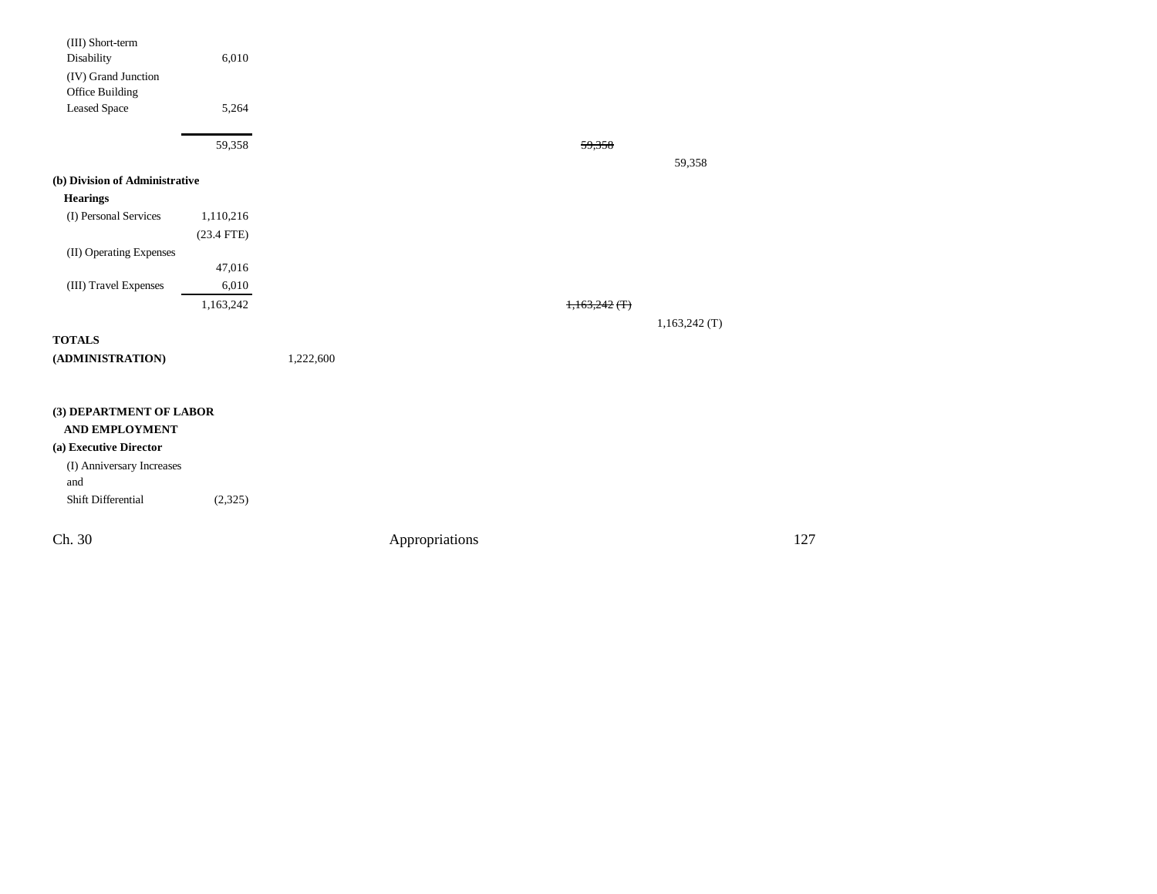| (III) Short-term               |              |           |                |                 |                 |     |
|--------------------------------|--------------|-----------|----------------|-----------------|-----------------|-----|
| Disability                     | 6,010        |           |                |                 |                 |     |
| (IV) Grand Junction            |              |           |                |                 |                 |     |
| Office Building                |              |           |                |                 |                 |     |
| <b>Leased Space</b>            | 5,264        |           |                |                 |                 |     |
|                                |              |           |                |                 |                 |     |
|                                | 59,358       |           |                | 59,358          |                 |     |
| (b) Division of Administrative |              |           |                |                 | 59,358          |     |
|                                |              |           |                |                 |                 |     |
| <b>Hearings</b>                |              |           |                |                 |                 |     |
| (I) Personal Services          | 1,110,216    |           |                |                 |                 |     |
|                                | $(23.4$ FTE) |           |                |                 |                 |     |
| (II) Operating Expenses        |              |           |                |                 |                 |     |
|                                | 47,016       |           |                |                 |                 |     |
| (III) Travel Expenses          | 6,010        |           |                |                 |                 |     |
|                                | 1,163,242    |           |                | $1,163,242$ (T) |                 |     |
|                                |              |           |                |                 | $1,163,242$ (T) |     |
| <b>TOTALS</b>                  |              |           |                |                 |                 |     |
| $(\bf ADMINISTRATION)$         |              | 1,222,600 |                |                 |                 |     |
|                                |              |           |                |                 |                 |     |
| (3) DEPARTMENT OF LABOR        |              |           |                |                 |                 |     |
| <b>AND EMPLOYMENT</b>          |              |           |                |                 |                 |     |
| (a) Executive Director         |              |           |                |                 |                 |     |
| (I) Anniversary Increases      |              |           |                |                 |                 |     |
| and                            |              |           |                |                 |                 |     |
| Shift Differential             | (2,325)      |           |                |                 |                 |     |
| Ch. 30                         |              |           |                |                 |                 | 127 |
|                                |              |           | Appropriations |                 |                 |     |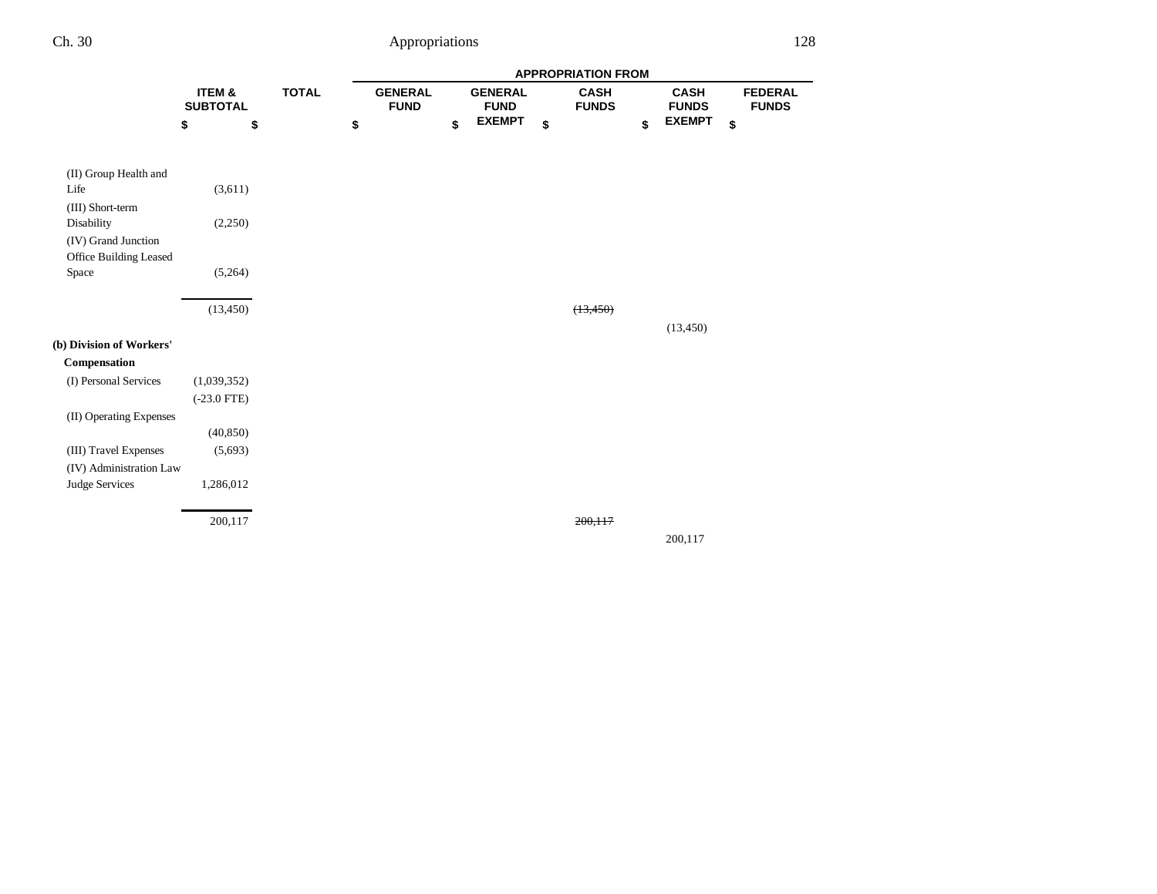|                          |                           |    |              | <b>APPROPRIATION FROM</b> |                               |    |                               |    |                             |    |                             |    |                                |
|--------------------------|---------------------------|----|--------------|---------------------------|-------------------------------|----|-------------------------------|----|-----------------------------|----|-----------------------------|----|--------------------------------|
|                          | ITEM &<br><b>SUBTOTAL</b> |    | <b>TOTAL</b> |                           | <b>GENERAL</b><br><b>FUND</b> |    | <b>GENERAL</b><br><b>FUND</b> |    | <b>CASH</b><br><b>FUNDS</b> |    | <b>CASH</b><br><b>FUNDS</b> |    | <b>FEDERAL</b><br><b>FUNDS</b> |
|                          | \$                        | \$ |              | \$                        |                               | \$ | <b>EXEMPT</b>                 | \$ |                             | \$ | <b>EXEMPT</b>               | \$ |                                |
| (II) Group Health and    |                           |    |              |                           |                               |    |                               |    |                             |    |                             |    |                                |
| Life                     | (3,611)                   |    |              |                           |                               |    |                               |    |                             |    |                             |    |                                |
| (III) Short-term         |                           |    |              |                           |                               |    |                               |    |                             |    |                             |    |                                |
| Disability               | (2,250)                   |    |              |                           |                               |    |                               |    |                             |    |                             |    |                                |
| (IV) Grand Junction      |                           |    |              |                           |                               |    |                               |    |                             |    |                             |    |                                |
| Office Building Leased   |                           |    |              |                           |                               |    |                               |    |                             |    |                             |    |                                |
| Space                    | (5,264)                   |    |              |                           |                               |    |                               |    |                             |    |                             |    |                                |
|                          |                           |    |              |                           |                               |    |                               |    |                             |    |                             |    |                                |
|                          | (13, 450)                 |    |              |                           |                               |    |                               |    | (13, 450)                   |    |                             |    |                                |
|                          |                           |    |              |                           |                               |    |                               |    |                             |    | (13, 450)                   |    |                                |
| (b) Division of Workers' |                           |    |              |                           |                               |    |                               |    |                             |    |                             |    |                                |
| Compensation             |                           |    |              |                           |                               |    |                               |    |                             |    |                             |    |                                |
| (I) Personal Services    | (1,039,352)               |    |              |                           |                               |    |                               |    |                             |    |                             |    |                                |
|                          | $(-23.0$ FTE)             |    |              |                           |                               |    |                               |    |                             |    |                             |    |                                |
| (II) Operating Expenses  |                           |    |              |                           |                               |    |                               |    |                             |    |                             |    |                                |
|                          | (40, 850)                 |    |              |                           |                               |    |                               |    |                             |    |                             |    |                                |
| (III) Travel Expenses    | (5,693)                   |    |              |                           |                               |    |                               |    |                             |    |                             |    |                                |
| (IV) Administration Law  |                           |    |              |                           |                               |    |                               |    |                             |    |                             |    |                                |
| Judge Services           | 1,286,012                 |    |              |                           |                               |    |                               |    |                             |    |                             |    |                                |
|                          | 200,117                   |    |              |                           |                               |    |                               |    | 200,117                     |    |                             |    |                                |
|                          |                           |    |              |                           |                               |    |                               |    |                             |    | 200,117                     |    |                                |